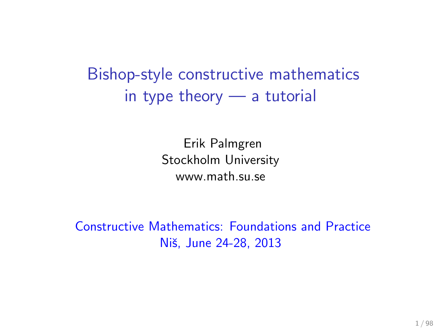# Bishop-style constructive mathematics in type theory — a tutorial

Erik Palmgren Stockholm University www.math.su.se

Constructive Mathematics: Foundations and Practice Niš, June 24-28, 2013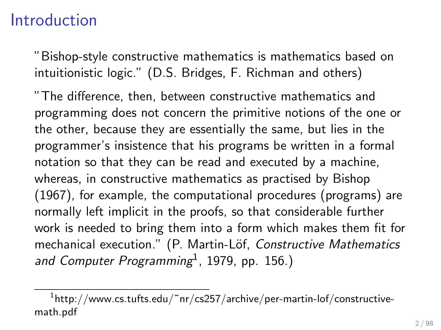### Introduction

"Bishop-style constructive mathematics is mathematics based on intuitionistic logic." (D.S. Bridges, F. Richman and others)

"The difference, then, between constructive mathematics and programming does not concern the primitive notions of the one or the other, because they are essentially the same, but lies in the programmer's insistence that his programs be written in a formal notation so that they can be read and executed by a machine, whereas, in constructive mathematics as practised by Bishop (1967), for example, the computational procedures (programs) are normally left implicit in the proofs, so that considerable further work is needed to bring them into a form which makes them fit for mechanical execution." (P. Martin-Löf, Constructive Mathematics and Computer Programming<sup>1</sup>, 1979, pp. 156.)

 $^{\rm 1}$ http://www.cs.tufts.edu/~nr/cs257/archive/per-martin-lof/constructivemath.pdf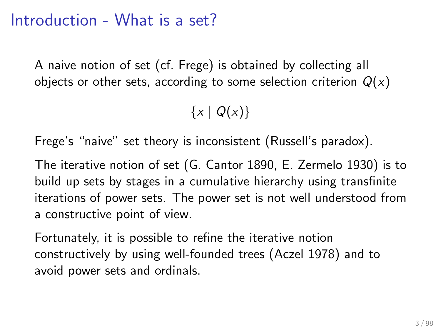### Introduction - What is a set?

A naive notion of set (cf. Frege) is obtained by collecting all objects or other sets, according to some selection criterion  $Q(x)$ 

 ${x | Q(x)}$ 

Frege's "naive" set theory is inconsistent (Russell's paradox).

The iterative notion of set (G. Cantor 1890, E. Zermelo 1930) is to build up sets by stages in a cumulative hierarchy using transfinite iterations of power sets. The power set is not well understood from a constructive point of view.

Fortunately, it is possible to refine the iterative notion constructively by using well-founded trees (Aczel 1978) and to avoid power sets and ordinals.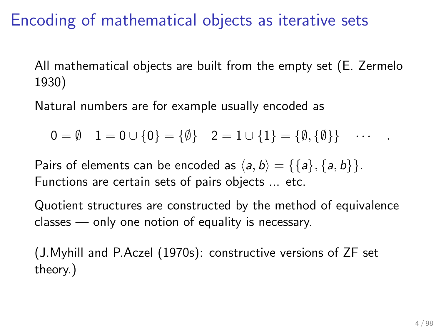### Encoding of mathematical objects as iterative sets

All mathematical objects are built from the empty set (E. Zermelo 1930)

Natural numbers are for example usually encoded as

 $0 = \emptyset$   $1 = 0 \cup \{0\} = \{\emptyset\}$   $2 = 1 \cup \{1\} = \{\emptyset, \{\emptyset\}\}$  ...

Pairs of elements can be encoded as  $\langle a, b \rangle = {\{a\}, \{a, b\}}$ . Functions are certain sets of pairs objects ... etc.

Quotient structures are constructed by the method of equivalence classes — only one notion of equality is necessary.

(J.Myhill and P.Aczel (1970s): constructive versions of ZF set theory.)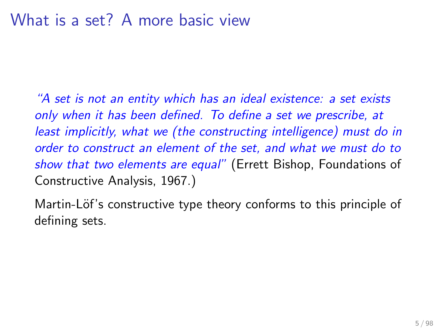"A set is not an entity which has an ideal existence: a set exists only when it has been defined. To define a set we prescribe, at least implicitly, what we (the constructing intelligence) must do in order to construct an element of the set, and what we must do to show that two elements are equal" (Errett Bishop, Foundations of Constructive Analysis, 1967.)

Martin-Löf's constructive type theory conforms to this principle of defining sets.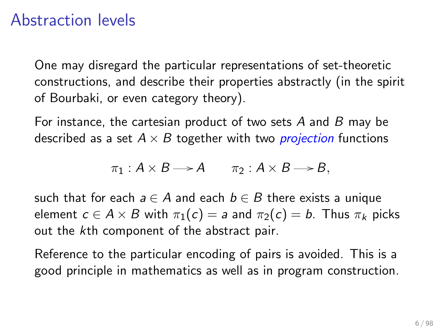### Abstraction levels

One may disregard the particular representations of set-theoretic constructions, and describe their properties abstractly (in the spirit of Bourbaki, or even category theory).

For instance, the cartesian product of two sets A and B may be described as a set  $A \times B$  together with two *projection* functions

$$
\pi_1: A \times B \longrightarrow A \qquad \pi_2: A \times B \longrightarrow B,
$$

such that for each  $a \in A$  and each  $b \in B$  there exists a unique element  $c \in A \times B$  with  $\pi_1(c) = a$  and  $\pi_2(c) = b$ . Thus  $\pi_k$  picks out the kth component of the abstract pair.

Reference to the particular encoding of pairs is avoided. This is a good principle in mathematics as well as in program construction.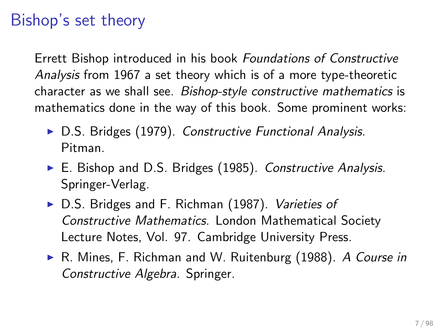## Bishop's set theory

Errett Bishop introduced in his book Foundations of Constructive Analysis from 1967 a set theory which is of a more type-theoretic character as we shall see. Bishop-style constructive mathematics is mathematics done in the way of this book. Some prominent works:

- $\triangleright$  D.S. Bridges (1979). Constructive Functional Analysis. Pitman.
- $\triangleright$  E. Bishop and D.S. Bridges (1985). Constructive Analysis. Springer-Verlag.
- ▶ D.S. Bridges and F. Richman (1987). Varieties of Constructive Mathematics. London Mathematical Society Lecture Notes, Vol. 97. Cambridge University Press.
- ► R. Mines, F. Richman and W. Ruitenburg (1988). A Course in Constructive Algebra. Springer.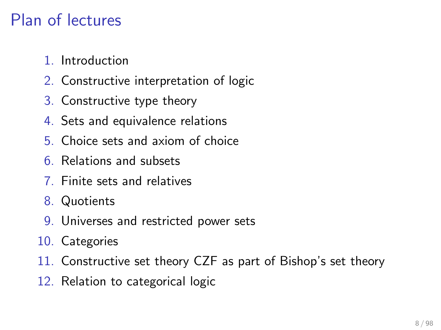# Plan of lectures

- 1. Introduction
- 2. Constructive interpretation of logic
- 3. Constructive type theory
- 4. Sets and equivalence relations
- 5. Choice sets and axiom of choice
- 6. Relations and subsets
- 7. Finite sets and relatives
- 8. Quotients
- 9. Universes and restricted power sets
- 10. Categories
- 11. Constructive set theory CZF as part of Bishop's set theory
- 12. Relation to categorical logic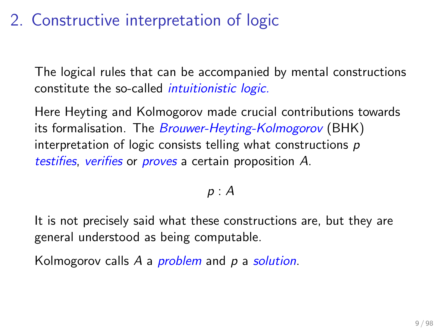## 2. Constructive interpretation of logic

The logical rules that can be accompanied by mental constructions constitute the so-called intuitionistic logic.

Here Heyting and Kolmogorov made crucial contributions towards its formalisation. The *Brouwer-Heyting-Kolmogorov* (BHK) interpretation of logic consists telling what constructions p testifies, verifies or proves a certain proposition A.

#### $p : A$

It is not precisely said what these constructions are, but they are general understood as being computable.

Kolmogorov calls A a *problem* and p a solution.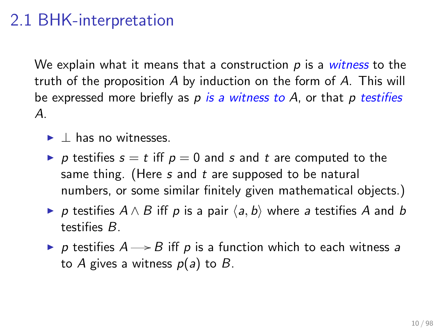### 2.1 BHK-interpretation

We explain what it means that a construction  $p$  is a witness to the truth of the proposition A by induction on the form of A. This will be expressed more briefly as  $p$  is a witness to  $A$ , or that  $p$  testifies A.

- $\blacktriangleright$   $\vdash$  has no witnesses.
- p testifies  $s = t$  iff  $p = 0$  and s and t are computed to the same thing. (Here  $s$  and  $t$  are supposed to be natural numbers, or some similar finitely given mathematical objects.)
- $\triangleright$  p testifies  $A \wedge B$  iff p is a pair  $\langle a, b \rangle$  where a testifies A and b testifies B.
- p testifies  $A \rightarrow B$  iff p is a function which to each witness a to A gives a witness  $p(a)$  to B.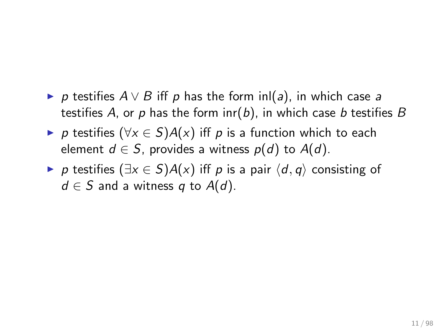- $\triangleright$  p testifies  $A \vee B$  iff p has the form inl(a), in which case a testifies A, or p has the form  $\text{inr}(b)$ , in which case b testifies B
- $\triangleright$  p testifies ( $\forall x \in S$ )A(x) iff p is a function which to each element  $d \in S$ , provides a witness  $p(d)$  to  $A(d)$ .
- $\triangleright$  p testifies  $(\exists x \in S)A(x)$  iff p is a pair  $\langle d, q \rangle$  consisting of  $d \in S$  and a witness q to  $A(d)$ .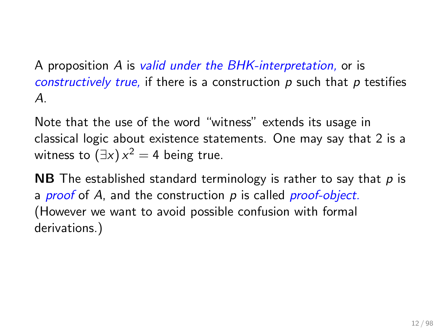A proposition A is valid under the BHK-interpretation, or is constructively true, if there is a construction  $p$  such that  $p$  testifies  $\mathcal{A}_{\cdot}$ 

Note that the use of the word "witness" extends its usage in classical logic about existence statements. One may say that 2 is a witness to  $(\exists x) x^2 = 4$  being true.

**NB** The established standard terminology is rather to say that  $p$  is a *proof* of A, and the construction  $p$  is called *proof-object.* (However we want to avoid possible confusion with formal derivations.)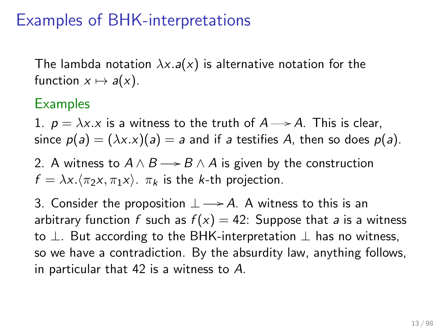### Examples of BHK-interpretations

The lambda notation  $\lambda x.a(x)$  is alternative notation for the function  $x \mapsto a(x)$ .

#### **Examples**

1.  $p = \lambda x.x$  is a witness to the truth of  $A \rightarrow A$ . This is clear, since  $p(a) = (\lambda x.x)(a) = a$  and if a testifies A, then so does  $p(a)$ .

2. A witness to  $A \wedge B \longrightarrow B \wedge A$  is given by the construction  $f = \lambda x.\langle \pi_2 x, \pi_1 x \rangle$ .  $\pi_k$  is the k-th projection.

3. Consider the proposition  $\perp \rightarrow A$ . A witness to this is an arbitrary function f such as  $f(x) = 42$ : Suppose that a is a witness to  $\perp$ . But according to the BHK-interpretation  $\perp$  has no witness, so we have a contradiction. By the absurdity law, anything follows, in particular that 42 is a witness to A.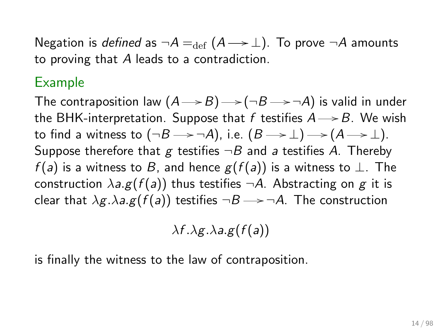Negation is *defined* as  $\neg A =_{def} (A \rightarrow \bot)$ . To prove  $\neg A$  amounts to proving that A leads to a contradiction.

#### Example

The contraposition law  $(A{\longrightarrow}B){\longrightarrow}({\neg}B{\longrightarrow}{\neg}A)$  is valid in under the BHK-interpretation. Suppose that f testifies  $A \rightarrow B$ . We wish to find a witness to (¬ $B$   $\longrightarrow$  ¬A), i.e.  $(B \mathbin{\longrightarrow} \bot)$   $\longrightarrow$   $(A \mathbin{\longrightarrow} \bot)$ . Suppose therefore that g testifies  $\neg B$  and a testifies A. Thereby  $f(a)$  is a witness to B, and hence  $g(f(a))$  is a witness to  $\perp$ . The construction  $\lambda a.g(f(a))$  thus testifies  $\neg A$ . Abstracting on g it is clear that  $\lambda g.\lambda a.g(f(a))$  testifies  $\neg B \rightarrow \neg A$ . The construction

$$
\lambda f.\lambda g.\lambda a.g(f(a))
$$

is finally the witness to the law of contraposition.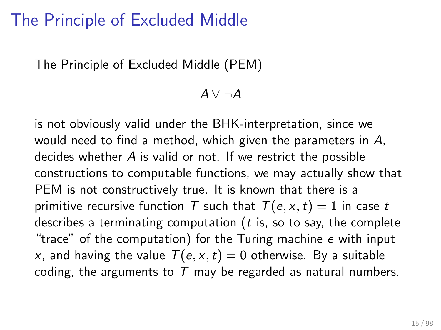### The Principle of Excluded Middle

The Principle of Excluded Middle (PEM)

$$
A \vee \neg A
$$

is not obviously valid under the BHK-interpretation, since we would need to find a method, which given the parameters in A, decides whether A is valid or not. If we restrict the possible constructions to computable functions, we may actually show that PEM is not constructively true. It is known that there is a primitive recursive function T such that  $T(e, x, t) = 1$  in case t describes a terminating computation ( $t$  is, so to say, the complete "trace" of the computation) for the Turing machine e with input x, and having the value  $T(e, x, t) = 0$  otherwise. By a suitable coding, the arguments to  $T$  may be regarded as natural numbers.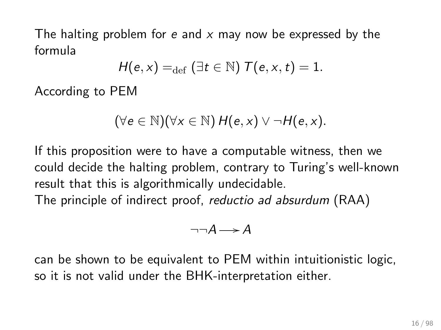The halting problem for e and  $x$  may now be expressed by the formula

$$
H(e,x) =_{\text{def}} (\exists t \in \mathbb{N}) \ T(e,x,t) = 1.
$$

According to PEM

$$
(\forall e \in \mathbb{N})(\forall x \in \mathbb{N}) H(e,x) \vee \neg H(e,x).
$$

If this proposition were to have a computable witness, then we could decide the halting problem, contrary to Turing's well-known result that this is algorithmically undecidable.

The principle of indirect proof, reductio ad absurdum (RAA)

$$
\neg\neg A \longrightarrow A
$$

can be shown to be equivalent to PEM within intuitionistic logic, so it is not valid under the BHK-interpretation either.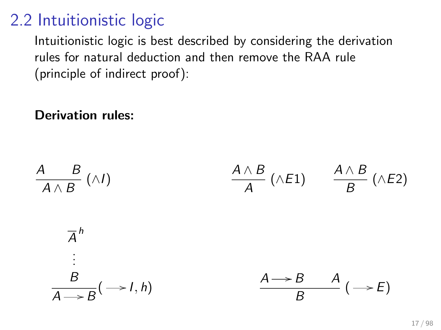## 2.2 Intuitionistic logic

Intuitionistic logic is best described by considering the derivation rules for natural deduction and then remove the RAA rule (principle of indirect proof):

#### Derivation rules:

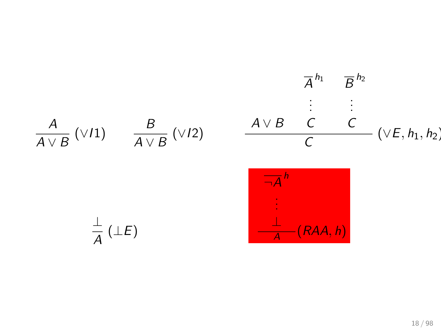$$
\overline{A}^{h_1} \quad \overline{B}^{h_2}
$$
\n
$$
\vdots \quad \vdots
$$
\n
$$
\overline{A \vee B} \quad (\vee I1) \quad \overline{A \vee B} \quad (\vee I2) \quad \overline{A \vee B} \quad \overline{C} \quad (\vee E, h_1, h_2)
$$
\n
$$
\overline{A}^{h}
$$
\n
$$
\vdots \quad \vdots
$$
\n
$$
\overline{A}^{h}
$$
\n
$$
\vdots
$$
\n
$$
\overline{A}^{h}
$$
\n
$$
\vdots
$$
\n
$$
\overline{A}^{h}
$$
\n
$$
\vdots
$$
\n
$$
\overline{A}^{h}
$$
\n
$$
\vdots
$$
\n
$$
\overline{A}^{h}
$$
\n
$$
\vdots
$$
\n
$$
\overline{A}^{h}
$$
\n
$$
\vdots
$$
\n
$$
\overline{A}^{h}
$$
\n
$$
\overline{A}^{h}
$$
\n
$$
\overline{A}^{h}
$$
\n
$$
\overline{A}^{h}
$$
\n
$$
\overline{A}^{h}
$$
\n
$$
\overline{A}^{h}
$$
\n
$$
\overline{A}^{h}
$$
\n
$$
\overline{A}^{h}
$$
\n
$$
\overline{A}^{h}
$$
\n
$$
\overline{A}^{h}
$$
\n
$$
\overline{A}^{h}
$$
\n
$$
\overline{A}^{h}
$$
\n
$$
\overline{A}^{h}
$$
\n
$$
\overline{A}^{h}
$$
\n
$$
\overline{A}^{h}
$$
\n
$$
\overline{A}^{h}
$$
\n
$$
\overline{A}^{h}
$$
\n
$$
\overline{A}^{h}
$$
\n
$$
\overline{A}^{h}
$$
\n
$$
\overline{A}^{h}
$$
\n
$$
\overline{A}^{h}
$$
\n
$$
\overline{A}^{h}
$$
\n
$$
\overline{A}^{h}
$$
\n
$$
\overline{A}^{h}
$$
\n
$$
\overline{A}^{h}
$$
\n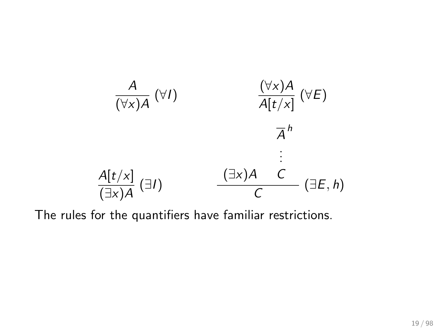

The rules for the quantifiers have familiar restrictions.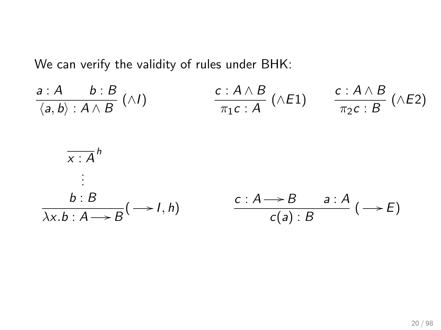We can verify the validity of rules under BHK:

$$
\frac{a:A \quad b:B}{\langle a,b \rangle : A \land B} (\land I) \qquad \frac{c:A \land B}{\pi_1c:A} (\land E1) \qquad \frac{c:A \land B}{\pi_2c:B} (\land E2)
$$
\n
$$
\frac{\overline{x:A}}{x:A}^h
$$
\n
$$
\vdots
$$
\n
$$
b:B \qquad \qquad \frac{c:A \rightarrow B \quad a:A}{c(a):B} \quad (-\rightarrow E)
$$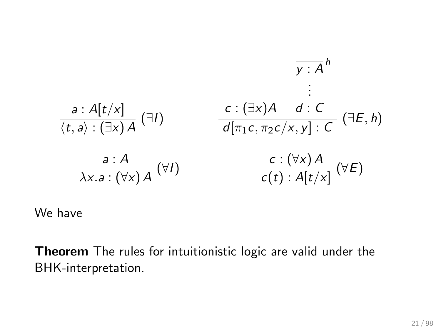$$
\frac{a: A[t/x]}{\langle t, a \rangle : (\exists x) A} \quad (\exists I) \quad \frac{c: (\exists x) A \quad d: C}{d[\pi_1 c, \pi_2 c / x, y]: C} \quad (\exists E, h)
$$
\n
$$
\frac{a: A}{\lambda x. a: (\forall x) A} \quad (\forall I) \quad \frac{c: (\forall x) A}{c(t): A[t / x]} \quad (\forall E)
$$

We have

Theorem The rules for intuitionistic logic are valid under the BHK-interpretation.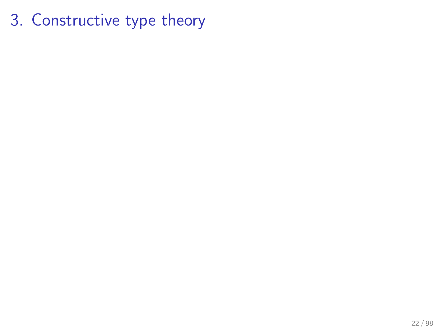3. Constructive type theory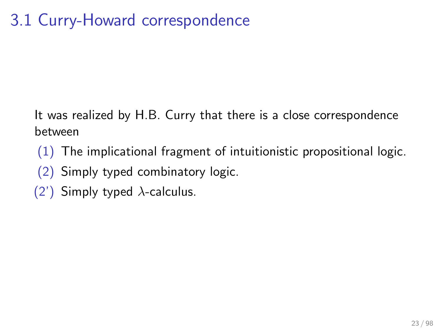# 3.1 Curry-Howard correspondence

It was realized by H.B. Curry that there is a close correspondence between

- $(1)$  The implicational fragment of intuitionistic propositional logic.
- (2) Simply typed combinatory logic.
- (2') Simply typed  $\lambda$ -calculus.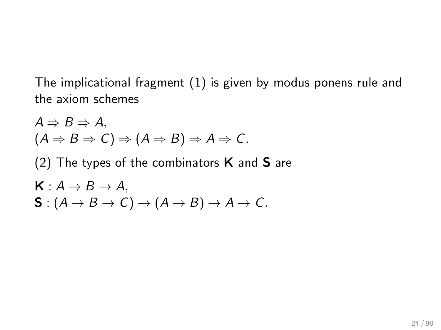The implicational fragment (1) is given by modus ponens rule and the axiom schemes

$$
A \Rightarrow B \Rightarrow A,
$$
  
\n
$$
(A \Rightarrow B \Rightarrow C) \Rightarrow (A \Rightarrow B) \Rightarrow A \Rightarrow C.
$$
  
\n
$$
(2) \text{ The types of the combinators } \mathbf{K} \text{ and } \mathbf{S} \text{ are}
$$
  
\n
$$
\mathbf{K}: A \rightarrow B \rightarrow A,
$$
  
\n
$$
\mathbf{S}: (A \rightarrow B \rightarrow C) \rightarrow (A \rightarrow B) \rightarrow A \rightarrow C.
$$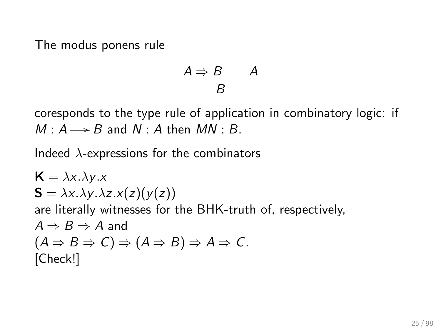The modus ponens rule

$$
\frac{A \Rightarrow B \qquad A}{B}
$$

coresponds to the type rule of application in combinatory logic: if  $M : A \longrightarrow B$  and  $N : A$  then  $MN : B$ .

Indeed  $\lambda$ -expressions for the combinators

$$
K = \lambda x.\lambda y.x
$$
  
\n
$$
S = \lambda x.\lambda y.\lambda z.x(z)(y(z))
$$
  
\nare literally witnesses for the BHK-truth of, respectively,  
\n $A \Rightarrow B \Rightarrow A$  and  
\n $(A \Rightarrow B \Rightarrow C) \Rightarrow (A \Rightarrow B) \Rightarrow A \Rightarrow C$ .  
\n[Check!]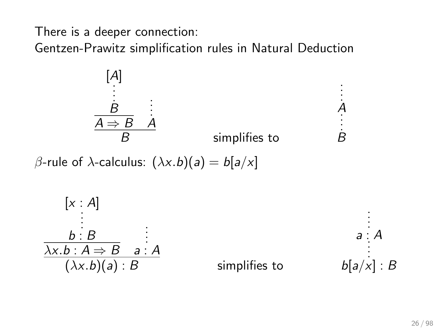There is a deeper connection:

Gentzen-Prawitz simplification rules in Natural Deduction



β-rule of  $\lambda$ -calculus:  $(\lambda x.b)(a) = b[a/x]$ 

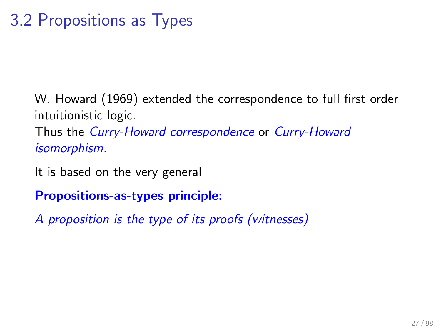# 3.2 Propositions as Types

W. Howard (1969) extended the correspondence to full first order intuitionistic logic.

Thus the Curry-Howard correspondence or Curry-Howard isomorphism.

It is based on the very general

Propositions-as-types principle:

A proposition is the type of its proofs (witnesses)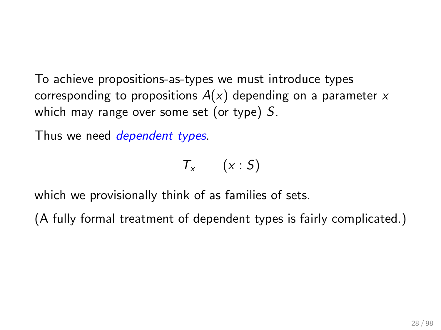To achieve propositions-as-types we must introduce types corresponding to propositions  $A(x)$  depending on a parameter x which may range over some set (or type) S.

Thus we need *dependent types*.

$$
T_x \qquad (x : S)
$$

which we provisionally think of as families of sets.

(A fully formal treatment of dependent types is fairly complicated.)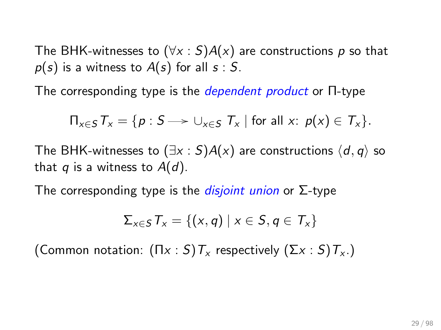The BHK-witnesses to  $(\forall x : S)A(x)$  are constructions p so that  $p(s)$  is a witness to  $A(s)$  for all  $s : S$ .

The corresponding type is the dependent product or Π-type

$$
\Pi_{x\in S}\,T_x=\{p:S\longrightarrow \cup_{x\in S}\,T_x\mid \text{for all }x;\ p(x)\in T_x\}.
$$

The BHK-witnesses to  $(\exists x : S)A(x)$  are constructions  $\langle d, q \rangle$  so that q is a witness to  $A(d)$ .

The corresponding type is the *disjoint union* or  $\Sigma$ -type

$$
\Sigma_{x\in S}T_x=\{(x,q)\mid x\in S, q\in T_x\}
$$

(Common notation:  $(\Pi x : S)T_x$  respectively  $(\Sigma x : S)T_x$ .)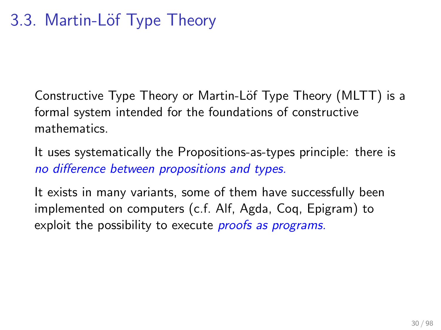Constructive Type Theory or Martin-Löf Type Theory (MLTT) is a formal system intended for the foundations of constructive mathematics.

It uses systematically the Propositions-as-types principle: there is no difference between propositions and types.

It exists in many variants, some of them have successfully been implemented on computers (c.f. Alf, Agda, Coq, Epigram) to exploit the possibility to execute *proofs as programs*.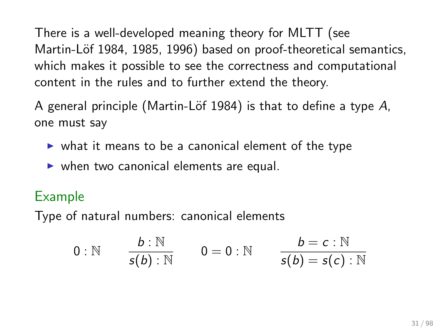There is a well-developed meaning theory for MLTT (see Martin-Löf 1984, 1985, 1996) based on proof-theoretical semantics, which makes it possible to see the correctness and computational content in the rules and to further extend the theory.

A general principle (Martin-Löf 1984) is that to define a type  $A$ , one must say

- $\triangleright$  what it means to be a canonical element of the type
- $\triangleright$  when two canonical elements are equal.

#### Example

Type of natural numbers: canonical elements

$$
0: \mathbb{N} \qquad \frac{b: \mathbb{N}}{s(b): \mathbb{N}} \qquad 0 = 0: \mathbb{N} \qquad \frac{b = c: \mathbb{N}}{s(b) = s(c): \mathbb{N}}
$$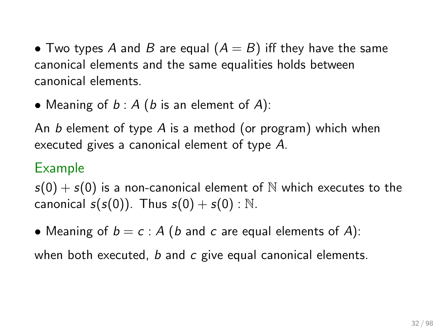• Two types A and B are equal  $(A = B)$  iff they have the same canonical elements and the same equalities holds between canonical elements.

• Meaning of  $b : A$  (b is an element of A):

An b element of type A is a method (or program) which when executed gives a canonical element of type A.

#### Example

 $s(0) + s(0)$  is a non-canonical element of N which executes to the canonical  $s(s(0))$ . Thus  $s(0) + s(0)$ : N.

• Meaning of  $b = c : A$  (b and c are equal elements of A):

when both executed,  $b$  and  $c$  give equal canonical elements.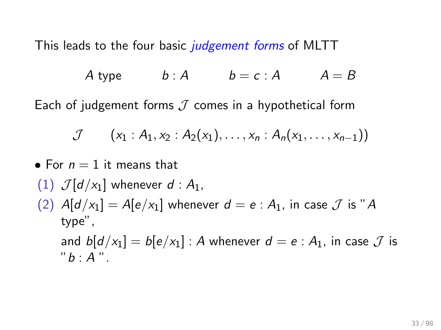This leads to the four basic *judgement forms* of MLTT

$$
A \text{ type } b:A \qquad b=c:A \qquad A=B
$$

Each of judgement forms  $J$  comes in a hypothetical form

$$
\mathcal{J} \qquad (x_1 : A_1, x_2 : A_2(x_1), \ldots, x_n : A_n(x_1, \ldots, x_{n-1}))
$$

- For  $n = 1$  it means that
- (1)  $\mathcal{J}[\mathbf{d}/x_1]$  whenever  $\mathbf{d}$  :  $A_1$ ,
- (2)  $A[d/x_1] = A[e/x_1]$  whenever  $d = e : A_1$ , in case  $\mathcal J$  is "A type",

and  $b[d/x_1] = b[e/x_1]$ : A whenever  $d = e : A_1$ , in case  $\mathcal J$  is  $"b: A"$ .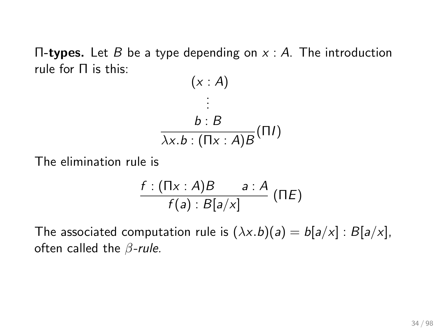$\Pi$ -types. Let B be a type depending on  $x : A$ . The introduction rule for Π is this:

$$
(x : A)
$$
  
\n
$$
\vdots
$$
  
\n
$$
b : B
$$
  
\n
$$
\overline{\lambda x.b} : (\overline{\Pi x} : A)B (\Pi I)
$$

The elimination rule is

$$
\frac{f:(\Pi x:A)B}{f(a):B[a/x]} \quad ( \Pi E)
$$

The associated computation rule is  $(\lambda x.b)(a) = b[a/x] : B[a/x]$ , often called the  $\beta$ -rule.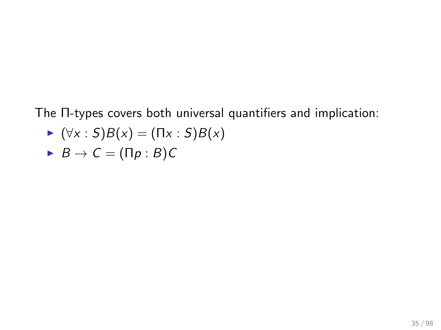The Π-types covers both universal quantifiers and implication:

$$
\blacktriangleright (\forall x : S)B(x) = (\Pi x : S)B(x)
$$

$$
\blacktriangleright \ B \to C = (\Pi p : B)C
$$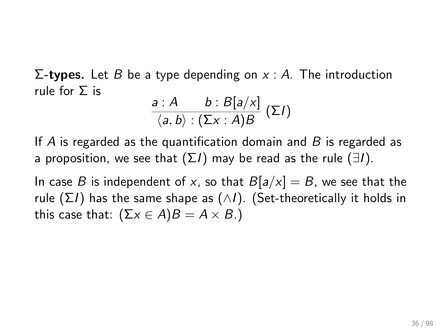$\Sigma$ -types. Let *B* be a type depending on *x* : *A*. The introduction rule for Σ is

$$
\frac{a:A \quad b: B[a/x]}{\langle a,b\rangle:(\Sigma x:A)B} (\Sigma I)
$$

If A is regarded as the quantification domain and  $B$  is regarded as a proposition, we see that  $(\Sigma I)$  may be read as the rule  $(\exists I)$ .

In case B is independent of x, so that  $B[a/x] = B$ , we see that the rule  $(\Sigma I)$  has the same shape as  $(\wedge I)$ . (Set-theoretically it holds in this case that:  $(Σx ∈ A)B = A × B.$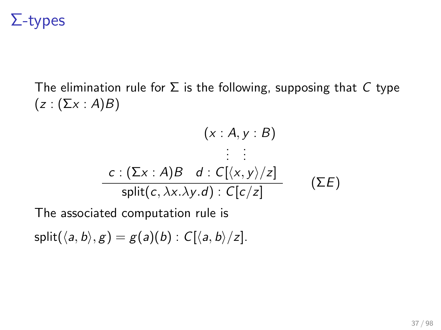# Σ-types

The elimination rule for  $\Sigma$  is the following, supposing that C type  $(z : (\Sigma x : A)B)$ 

$$
(x : A, y : B)
$$
  
\n
$$
\vdots \vdots
$$
  
\n
$$
c : (\Sigma x : A)B \quad d : C[(x, y)/z]
$$
  
\nsplit
$$
(x, \lambda x, \lambda y, d) : C[c/z]
$$
 (E)

The associated computation rule is

 $split(\langle a, b \rangle, g) = g(a)(b) : C[\langle a, b \rangle / z].$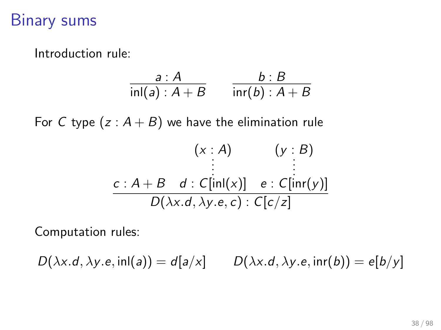# Binary sums

Introduction rule:

$$
\frac{a:A}{\text{inl}(a):A+B} \qquad \frac{b:B}{\text{inr}(b):A+B}
$$

For C type  $(z : A + B)$  we have the elimination rule

$$
(x : A) \qquad (y : B)
$$
  
\n
$$
\vdots
$$
  
\n
$$
c : A + B \quad d : C[\text{in}([x)] \quad e : C[\text{in}([y)]]
$$
  
\n
$$
D(\lambda x.d, \lambda y.e, c) : C[c/z]
$$

Computation rules:

 $D(\lambda x.d, \lambda y.e, \text{inl}(a)) = d[a/x]$   $D(\lambda x.d, \lambda y.e, \text{inr}(b)) = e[b/y]$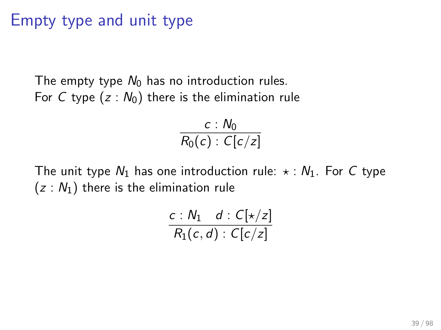# Empty type and unit type

The empty type  $N_0$  has no introduction rules. For C type  $(z : N_0)$  there is the elimination rule

$$
\frac{c: N_0}{R_0(c): C[c/z]}
$$

The unit type  $N_1$  has one introduction rule:  $\star$  :  $N_1$ . For C type  $(z : N_1)$  there is the elimination rule

$$
\frac{c: N_1 \quad d: C[\star / z]}{R_1(c, d): C[c/z]}
$$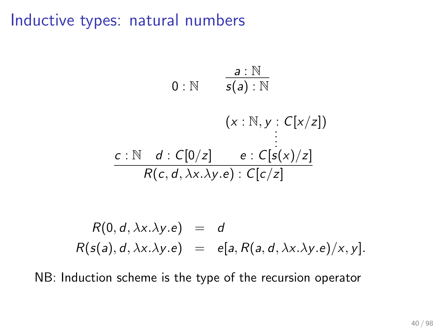# Inductive types: natural numbers

$$
0:\mathbb{N} \qquad \frac{a:\mathbb{N}}{s(a):\mathbb{N}}
$$
  

$$
(x:\mathbb{N}, y:C[x/z])
$$
  

$$
\vdots
$$
  

$$
\frac{c:\mathbb{N} \quad d:C[0/z] \qquad e:C[s(x)/z]}{R(c,d,\lambda x.\lambda y.e):C[c/z]}
$$

$$
R(0, d, \lambda x. \lambda y. e) = d
$$
  

$$
R(s(a), d, \lambda x. \lambda y. e) = e[a, R(a, d, \lambda x. \lambda y. e)/x, y].
$$

NB: Induction scheme is the type of the recursion operator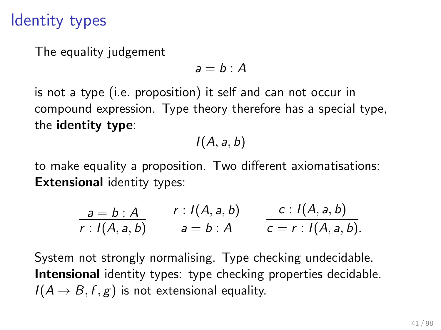# Identity types

The equality judgement

 $a = b \cdot A$ 

is not a type (i.e. proposition) it self and can not occur in compound expression. Type theory therefore has a special type, the identity type:

 $I(A, a, b)$ 

to make equality a proposition. Two different axiomatisations: Extensional identity types:

$$
\frac{a = b : A}{r : I(A, a, b)} \qquad \frac{r : I(A, a, b)}{a = b : A} \qquad \frac{c : I(A, a, b)}{c = r : I(A, a, b)}.
$$

System not strongly normalising. Type checking undecidable. Intensional identity types: type checking properties decidable.  $I(A \rightarrow B, f, g)$  is not extensional equality.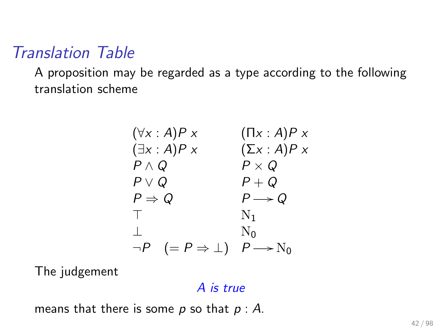# Translation Table

A proposition may be regarded as a type according to the following translation scheme

$$
(\forall x : A) P x \qquad (\Pi x : A) P x
$$
  
\n
$$
(\exists x : A) P x \qquad (\Sigma x : A) P x
$$
  
\n
$$
P \land Q \qquad P \times Q
$$
  
\n
$$
P \Rightarrow Q \qquad P \rightarrow Q
$$
  
\n
$$
\top \qquad \qquad N_1
$$
  
\n
$$
\bot \qquad \qquad N_0
$$
  
\n
$$
\neg P \qquad (= P \Rightarrow \bot) \qquad P \rightarrow N_0
$$

The judgement

#### A is true

means that there is some  $p$  so that  $p : A$ .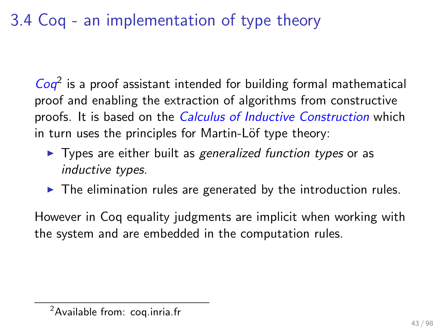# 3.4 Coq - an implementation of type theory

 $Coq<sup>2</sup>$  is a proof assistant intended for building formal mathematical proof and enabling the extraction of algorithms from constructive proofs. It is based on the *Calculus of Inductive Construction* which in turn uses the principles for Martin-Löf type theory:

- $\triangleright$  Types are either built as generalized function types or as inductive types.
- $\triangleright$  The elimination rules are generated by the introduction rules.

However in Coq equality judgments are implicit when working with the system and are embedded in the computation rules.

<sup>2</sup>Available from: coq.inria.fr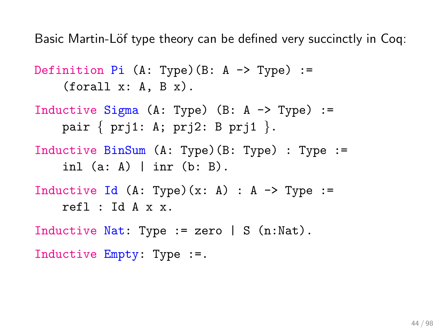Basic Martin-Löf type theory can be defined very succinctly in Cog:

Definition  $Pi$  (A: Type)(B: A -> Type) :=  $(forall x: A, B x)$ .

- Inductive Sigma (A: Type)  $(B: A \rightarrow Type)$ : pair { prj1: A; prj2: B prj1 }.
- Inductive BinSum (A: Type)(B: Type) : Type := inl  $(a: A)$  | inr  $(b: B)$ .

```
Inductive Id (A: Type)(x: A) : A \rightarrow Type :=refl : Id A x x.
```
Inductive Nat: Type := zero  $| S(n):$ Nat). Inductive Empty: Type :=.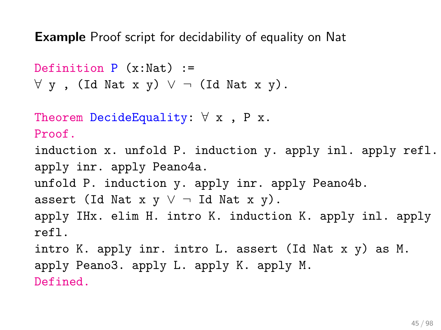Example Proof script for decidability of equality on Nat

```
Definition P(x:Nat) :=
\forall y, (Id Nat x y) \lor \neg (Id Nat x y).
Theorem DecideEquality: \forall x, P x.
Proof.
induction x. unfold P. induction y. apply inl. apply refl.
apply inr. apply Peano4a.
unfold P. induction y. apply inr. apply Peano4b.
assert (Id Nat x \ y \ \lor \ \neg Id Nat x \ y).
apply IHx. elim H. intro K. induction K. apply inl. apply
refl.
intro K. apply inr. intro L. assert (Id Nat x y) as M.
apply Peano3. apply L. apply K. apply M.
Defined.
```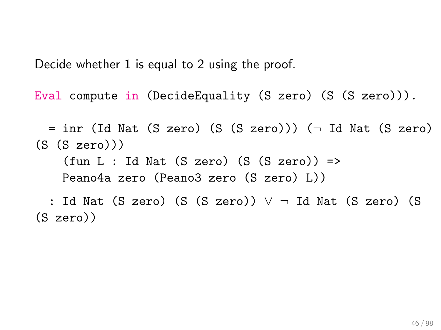Decide whether 1 is equal to 2 using the proof.

Eval compute in (DecideEquality (S zero) (S (S zero))).

 $=$  inr (Id Nat (S zero) (S (S zero))) ( $\neg$  Id Nat (S zero)  $(S (S zero)))$  $(fun L : Id Nat (S zero) (S (S zero)) =$ Peano4a zero (Peano3 zero (S zero) L)) : Id Nat (S zero) (S (S zero)) ∨ ¬ Id Nat (S zero) (S

(S zero))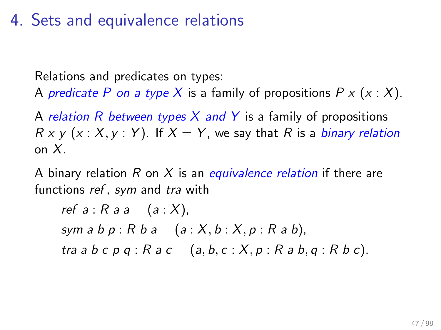# 4. Sets and equivalence relations

Relations and predicates on types:

A predicate P on a type X is a family of propositions  $P \times (x : X)$ .

A relation R between types X and Y is a family of propositions  $R \times y$  (x : X, y : Y). If  $X = Y$ , we say that R is a *binary relation* on X.

A binary relation R on X is an equivalence relation if there are functions ref, sym and tra with

ref  $a : R$  a  $a : (a : X)$ , sym a b  $p : R b a$   $(a : X, b : X, p : R a b)$ , tra a b c p q : R a c  $(a, b, c : X, p : R a b, q : R b c)$ .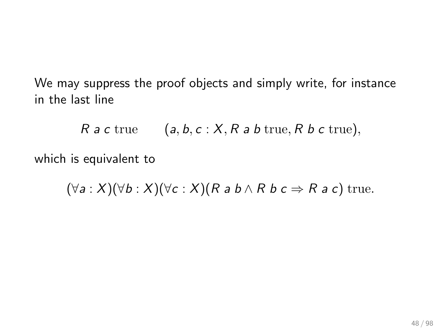We may suppress the proof objects and simply write, for instance in the last line

 $R$  a c true  $(a, b, c : X, R$  a b true, R b c true),

which is equivalent to

 $(\forall a : X)(\forall b : X)(\forall c : X)(R \land b \land R \land c \Rightarrow R \land c)$  true.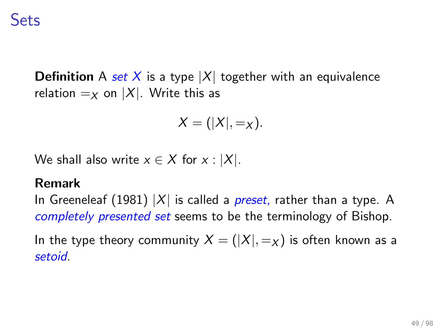**Definition** A set X is a type  $|X|$  together with an equivalence relation  $=_X$  on  $|X|$ . Write this as

$$
X=(|X|,=_X).
$$

We shall also write  $x \in X$  for  $x : |X|$ .

#### Remark

In Greeneleaf (1981)  $|X|$  is called a *preset*, rather than a type. A completely presented set seems to be the terminology of Bishop.

In the type theory community  $X = (|X|, =_X)$  is often known as a setoid.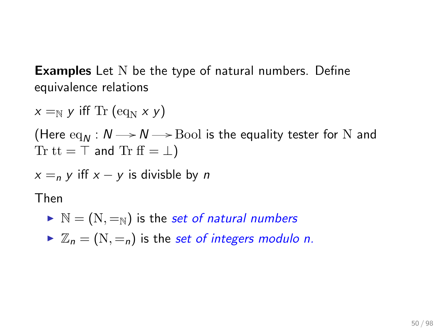**Examples** Let N be the type of natural numbers. Define equivalence relations

 $x =_{\mathbb{N}} y$  iff Tr (eq<sub>N</sub> x y) (Here  $eq_M : N \rightarrow N \rightarrow$  Bool is the equality tester for N and Tr tt =  $\top$  and Tr ff =  $\bot$ )  $x = n$  y iff  $x - y$  is divisble by n Then  $\triangleright \mathbb{N} = (\mathbb{N}, =_{\mathbb{N}})$  is the set of natural numbers

 $\triangleright \mathbb{Z}_n = (N, =_n)$  is the set of integers modulo n.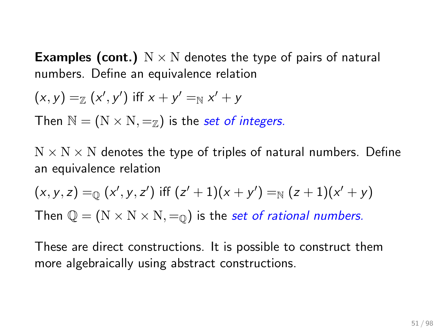**Examples (cont.)**  $N \times N$  denotes the type of pairs of natural numbers. Define an equivalence relation

$$
(x,y) =_{\mathbb{Z}} (x',y')
$$
 iff  $x + y' =_{\mathbb{N}} x' + y$ 

Then  $\mathbb{N} = (\mathbb{N} \times \mathbb{N}, =_Z)$  is the set of integers.

 $N \times N \times N$  denotes the type of triples of natural numbers. Define an equivalence relation

$$
(x, y, z) =_{\mathbb{Q}} (x', y, z')
$$
 iff  $(z' + 1)(x + y') =_{\mathbb{N}} (z + 1)(x' + y)$ 

Then  $\mathbb{Q} = (N \times N \times N, =_0)$  is the set of rational numbers.

These are direct constructions. It is possible to construct them more algebraically using abstract constructions.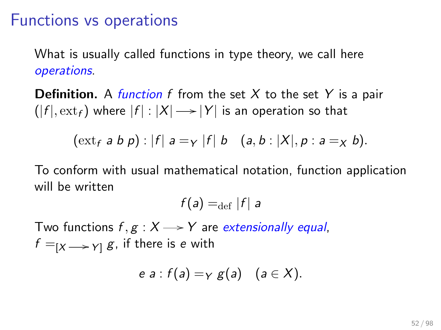### Functions vs operations

What is usually called functions in type theory, we call here operations.

**Definition.** A function f from the set X to the set Y is a pair  $(|f|, \mathrm{ext}_f)$  where  $|f|: |X| \mathbin{\longrightarrow} |Y|$  is an operation so that

$$
(ext_f a b p) : |f| a =_{Y} |f| b
$$
  $(a, b : |X|, p : a =_{X} b).$ 

To conform with usual mathematical notation, function application will be written

 $f(a) =_{\text{def}} |f|$  a

Two functions  $f, g: X \rightarrow Y$  are extensionally equal,  $f =_{[X] \to Y]} g$ , if there is e with

$$
e a : f(a) = \gamma g(a) \quad (a \in X).
$$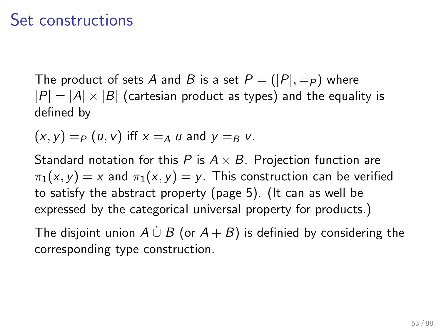### Set constructions

The product of sets A and B is a set  $P = (|P|, =_P)$  where  $|P| = |A| \times |B|$  (cartesian product as types) and the equality is defined by

$$
(x, y) = P(u, v)
$$
 iff  $x = A u$  and  $y = B v$ .

Standard notation for this P is  $A \times B$ . Projection function are  $\pi_1(x, y) = x$  and  $\pi_1(x, y) = y$ . This construction can be verified to satisfy the abstract property (page 5). (It can as well be expressed by the categorical universal property for products.)

The disjoint union  $A \cup B$  (or  $A + B$ ) is definied by considering the corresponding type construction.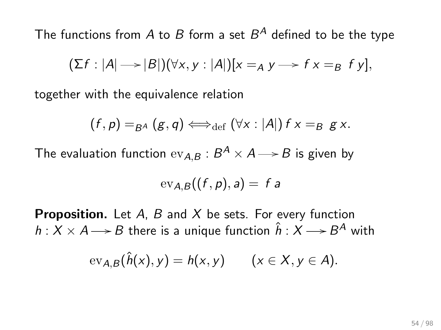The functions from  $A$  to  $B$  form a set  $B^A$  defined to be the type

$$
(\Sigma f: |A| \longrightarrow |B|)(\forall x, y: |A|)[x =_A y \longrightarrow fx =_B fy],
$$

together with the equivalence relation

$$
(f,p) =_{B^A} (g,q) \Longleftrightarrow_{\text{def}} (\forall x : |A|) f x =_{B} g x.
$$

The evaluation function  $\mathrm{ev}_{A,B}:B^A \times A {\longrightarrow} B$  is given by

$$
\operatorname{ev}_{A,B}((f,p),a)=f a
$$

**Proposition.** Let  $A$ ,  $B$  and  $X$  be sets. For every function  $h: X \times A {\,\longrightarrow\,} B$  there is a unique function  $\hat h: X {\,\longrightarrow\,} B^A$  with

$$
\mathrm{ev}_{A,B}(\hat{h}(x),y)=h(x,y) \qquad (x\in X,y\in A).
$$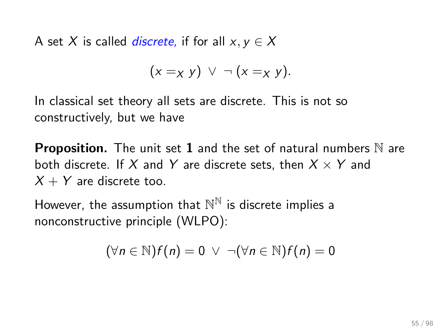A set X is called *discrete*, if for all  $x, y \in X$ 

$$
(x = x y) \vee \neg (x = x y).
$$

In classical set theory all sets are discrete. This is not so constructively, but we have

**Proposition.** The unit set 1 and the set of natural numbers  $\mathbb N$  are both discrete. If X and Y are discrete sets, then  $X \times Y$  and  $X + Y$  are discrete too.

However, the assumption that  $\mathbb{N}^\mathbb{N}$  is discrete implies a nonconstructive principle (WLPO):

$$
(\forall n \in \mathbb{N}) f(n) = 0 \ \lor \ \neg(\forall n \in \mathbb{N}) f(n) = 0
$$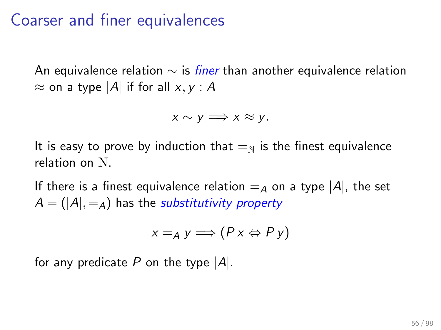## Coarser and finer equivalences

An equivalence relation  $\sim$  is *finer* than another equivalence relation  $\approx$  on a type |A| if for all x, y : A

$$
x \sim y \Longrightarrow x \approx y.
$$

It is easy to prove by induction that  $=_{\mathbb{N}}$  is the finest equivalence relation on N.

If there is a finest equivalence relation  $=_A$  on a type  $|A|$ , the set  $A = (|A|, =_A)$  has the *substitutivity property* 

$$
x=_Ay \Longrightarrow (Px \Leftrightarrow Py)
$$

for any predicate P on the type  $|A|$ .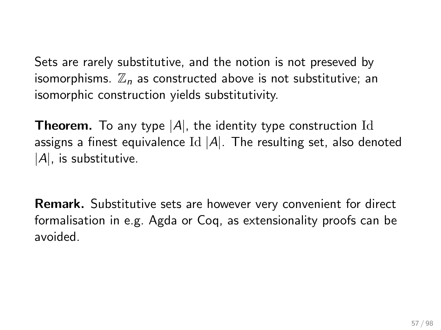Sets are rarely substitutive, and the notion is not preseved by isomorphisms.  $\mathbb{Z}_n$  as constructed above is not substitutive; an isomorphic construction yields substitutivity.

**Theorem.** To any type  $|A|$ , the identity type construction Id assigns a finest equivalence Id  $|A|$ . The resulting set, also denoted  $|A|$ , is substitutive.

Remark. Substitutive sets are however very convenient for direct formalisation in e.g. Agda or Coq, as extensionality proofs can be avoided.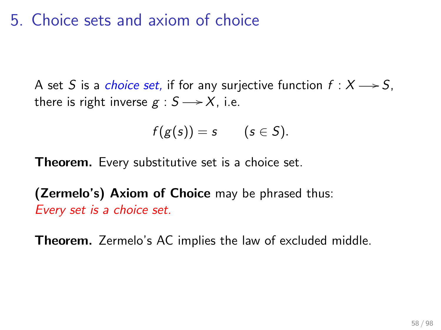# 5. Choice sets and axiom of choice

A set S is a *choice set*, if for any surjective function  $f : X \rightarrow S$ , there is right inverse  $g : S \longrightarrow X$ , i.e.

$$
f(g(s))=s \qquad (s\in S).
$$

Theorem. Every substitutive set is a choice set.

(Zermelo's) Axiom of Choice may be phrased thus: Every set is a choice set.

Theorem. Zermelo's AC implies the law of excluded middle.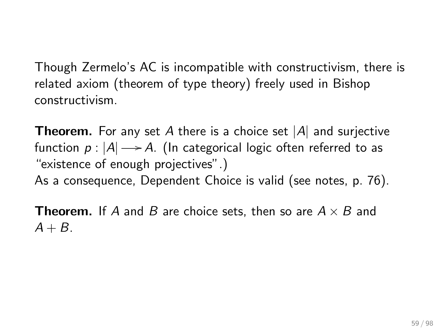Though Zermelo's AC is incompatible with constructivism, there is related axiom (theorem of type theory) freely used in Bishop constructivism.

**Theorem.** For any set A there is a choice set  $|A|$  and surjective function  $p: |A| \!\longrightarrow\! A$ . (In categorical logic often referred to as "existence of enough projectives".)

As a consequence, Dependent Choice is valid (see notes, p. 76).

**Theorem.** If A and B are choice sets, then so are  $A \times B$  and  $A + B$ .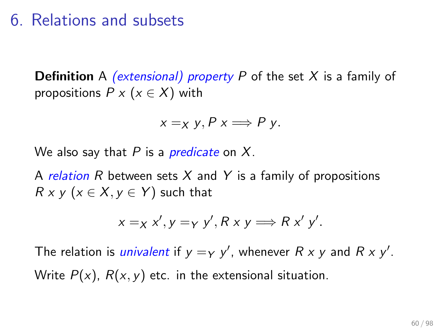# 6. Relations and subsets

**Definition** A *(extensional) property* P of the set X is a family of propositions  $P \times (x \in X)$  with

$$
x =_X y, P x \Longrightarrow P y.
$$

We also say that P is a *predicate* on X.

A relation R between sets X and Y is a family of propositions  $R \times y$  ( $x \in X, y \in Y$ ) such that

$$
x =_{X} x', y =_{Y} y', R x y \Longrightarrow R x' y'.
$$

The relation is *univalent* if  $y = y$  y', whenever  $R \times y$  and  $R \times y'$ . Write  $P(x)$ ,  $R(x, y)$  etc. in the extensional situation.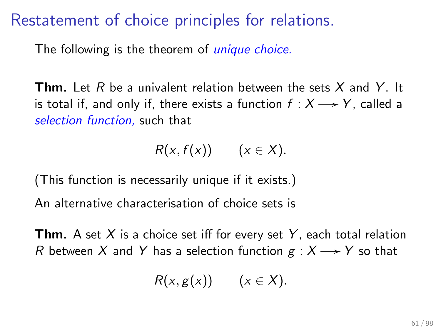## Restatement of choice principles for relations.

The following is the theorem of *unique choice*.

**Thm.** Let R be a univalent relation between the sets X and Y. It is total if, and only if, there exists a function  $f : X \longrightarrow Y$ , called a selection function, such that

$$
R(x, f(x)) \qquad (x \in X).
$$

(This function is necessarily unique if it exists.)

An alternative characterisation of choice sets is

**Thm.** A set  $X$  is a choice set iff for every set  $Y$ , each total relation R between X and Y has a selection function  $g: X \longrightarrow Y$  so that

$$
R(x,g(x)) \qquad (x\in X).
$$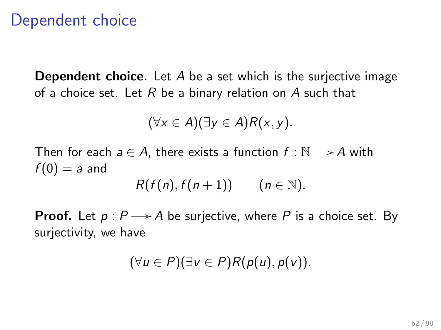# Dependent choice

**Dependent choice.** Let  $A$  be a set which is the surjective image of a choice set. Let R be a binary relation on A such that

$$
(\forall x \in A)(\exists y \in A)R(x, y).
$$

Then for each  $a \in A$ , there exists a function  $f : \mathbb{N} \longrightarrow A$  with  $f(0) = a$  and  $R(f(n), f(n+1))$   $(n \in \mathbb{N}).$ 

**Proof.** Let  $p : P \rightarrow A$  be surjective, where P is a choice set. By surjectivity, we have

$$
(\forall u \in P)(\exists v \in P)R(p(u), p(v)).
$$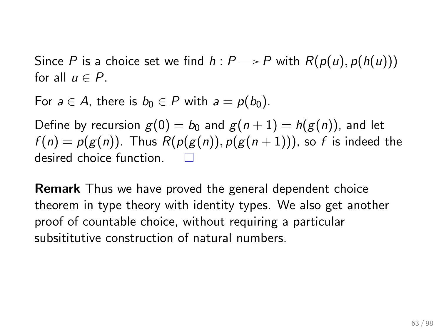Since P is a choice set we find  $h : P \rightarrow P$  with  $R(p(u), p(h(u)))$ for all  $u \in P$ .

For  $a \in A$ , there is  $b_0 \in P$  with  $a = p(b_0)$ .

Define by recursion  $g(0) = b_0$  and  $g(n + 1) = h(g(n))$ , and let  $f(n) = p(g(n))$ . Thus  $R(p(g(n)), p(g(n+1)))$ , so f is indeed the desired choice function.

Remark Thus we have proved the general dependent choice theorem in type theory with identity types. We also get another proof of countable choice, without requiring a particular subsititutive construction of natural numbers.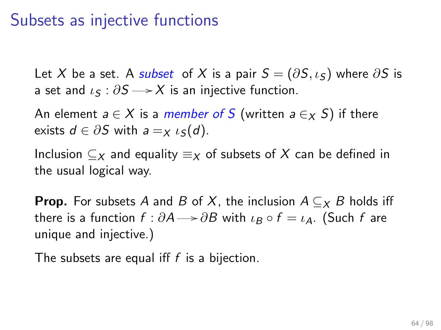### Subsets as injective functions

Let X be a set. A subset of X is a pair  $S = (\partial S, \iota_S)$  where  $\partial S$  is a set and  $\iota_S : \partial S \longrightarrow X$  is an injective function.

An element  $a \in X$  is a *member of* S (written  $a \in X$  S) if there exists  $d \in \partial S$  with  $a = x \iota_S(d)$ .

Inclusion  $\subset_X$  and equality  $\equiv_X$  of subsets of X can be defined in the usual logical way.

**Prop.** For subsets A and B of X, the inclusion  $A \subseteq X$  B holds iff there is a function  $f : \partial A \rightarrow \partial B$  with  $\iota_B \circ f = \iota_A$ . (Such f are unique and injective.)

The subsets are equal iff  $f$  is a bijection.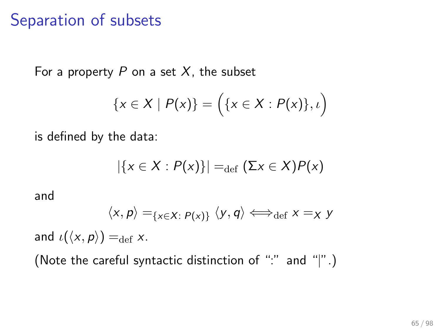### Separation of subsets

For a property  $P$  on a set  $X$ , the subset

$$
\{x\in X\mid P(x)\}=\Big(\{x\in X:P(x)\},\iota\Big)
$$

is defined by the data:

$$
|\{x \in X : P(x)\}| =_{\text{def}} (\Sigma x \in X)P(x)
$$

and

$$
\langle x,p\rangle =_{\{x\in X:\ P(x)\}} \langle y,q\rangle \Longleftrightarrow_{\text{def}} x =_X y
$$

and  $\iota(\langle x, p \rangle) =_{\text{def}} x$ .

(Note the careful syntactic distinction of ":" and "|".)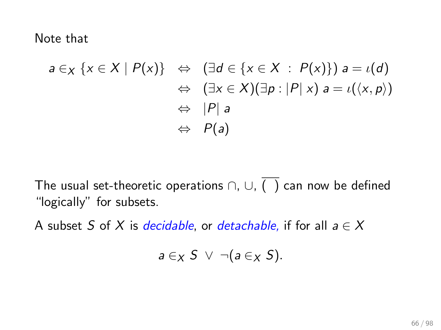Note that

$$
a \in_X \{x \in X \mid P(x)\} \Leftrightarrow (\exists d \in \{x \in X \ : P(x)\}) a = \iota(d)
$$
  

$$
\Leftrightarrow (\exists x \in X)(\exists p : |P| \ x) a = \iota(\langle x, p \rangle)
$$
  

$$
\Leftrightarrow |P| \ a
$$
  

$$
\Leftrightarrow P(a)
$$

The usual set-theoretic operations  $\cap$ ,  $\cup$ ,  $\overline{(\ )}$  can now be defined "logically" for subsets.

A subset S of X is *decidable*, or *detachable*, if for all  $a \in X$ 

$$
a\in_X S\ \vee\ \neg(a\in_X S).
$$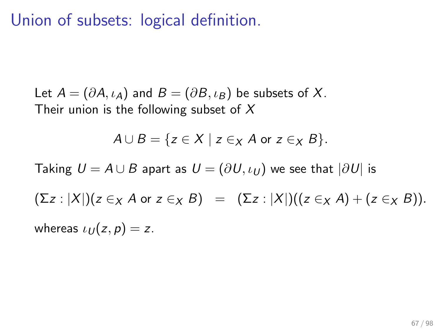Union of subsets: logical definition.

Let  $A = (\partial A, \iota_A)$  and  $B = (\partial B, \iota_B)$  be subsets of X. Their union is the following subset of  $X$ 

$$
A \cup B = \{ z \in X \mid z \in X \text{ for } z \in X B \}.
$$

Taking  $U = A \cup B$  apart as  $U = (\partial U, \iota_U)$  we see that  $|\partial U|$  is

 $(\Sigma z : |X|)(z \in_X A \text{ or } z \in_X B) = (\Sigma z : |X|)((z \in_X A) + (z \in_X B)).$ 

whereas  $\iota_U(z, p) = z$ .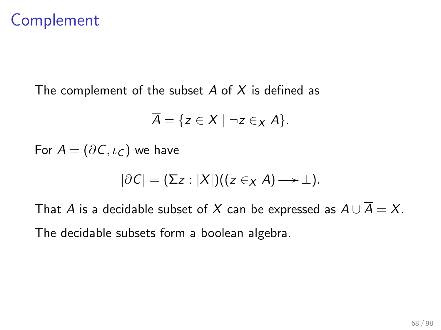## Complement

The complement of the subset  $A$  of  $X$  is defined as

$$
\overline{A} = \{ z \in X \mid \neg z \in_X A \}.
$$

For  $\overline{A} = (\partial C, \iota_C)$  we have

$$
|\partial C| = (\Sigma z : |X|)((z \in_X A) \rightarrow \bot).
$$

That A is a decidable subset of X can be expressed as  $A \cup \overline{A} = X$ . The decidable subsets form a boolean algebra.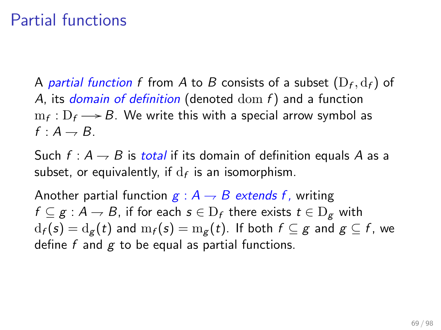# Partial functions

A *partial function f fr*om  $A$  to  $B$  consists of a subset  $(\mathrm{D}_f,\mathrm{d}_f)$  of A, its domain of definition (denoted  $dom f$ ) and a function  $m_f: D_f \longrightarrow B$ . We write this with a special arrow symbol as  $f: A \rightarrow B$ .

Such  $f : A \rightarrow B$  is total if its domain of definition equals A as a subset, or equivalently, if  $\mathrm{d}_f$  is an isomorphism.

Another partial function  $g : A \rightarrow B$  extends f, writing  $f \subseteq g : A \to B$ , if for each  $s \in D_f$  there exists  $t \in D_g$  with  $d_f(s) = d_g(t)$  and  $m_f(s) = m_g(t)$ . If both  $f \subseteq g$  and  $g \subseteq f$ , we define f and  $g$  to be equal as partial functions.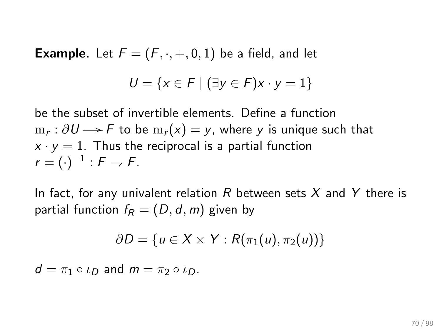**Example.** Let  $F = (F, \cdot, +, 0, 1)$  be a field, and let

$$
U = \{x \in F \mid (\exists y \in F)x \cdot y = 1\}
$$

be the subset of invertible elements. Define a function  $\mathrm{m}_\mathsf{r}: \partial U {\:\longrightarrow\:} {\mathsf{F}}$  to be  $\mathrm{m}_\mathsf{r}(\mathsf{x}) = \mathsf{y},$  where  $\mathsf{y}$  is unique such that  $x \cdot y = 1$ . Thus the reciprocal is a partial function  $r = (\cdot)^{-1}$  :  $F \rightarrow F$ .

In fact, for any univalent relation R between sets X and Y there is partial function  $f_R = (D, d, m)$  given by

$$
\partial D = \{u \in X \times Y : R(\pi_1(u), \pi_2(u))\}
$$

 $d = \pi_1 \circ \iota_D$  and  $m = \pi_2 \circ \iota_D$ .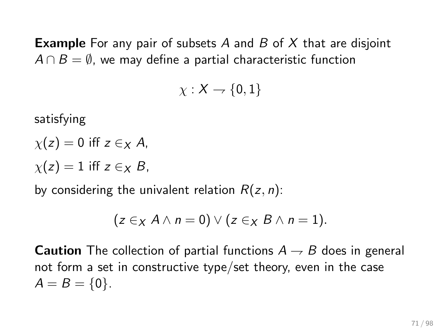**Example** For any pair of subsets A and B of X that are disjoint  $A \cap B = \emptyset$ , we may define a partial characteristic function

$$
\chi: X \to \{0,1\}
$$

satisfying

 $\chi(z) = 0$  iff  $z \in X$  A,  $\chi(z) = 1$  iff  $z \in \mathcal{X}$  B,

by considering the univalent relation  $R(z, n)$ :

$$
(z \in_X A \wedge n = 0) \vee (z \in_X B \wedge n = 1).
$$

**Caution** The collection of partial functions  $A \rightarrow B$  does in general not form a set in constructive type/set theory, even in the case  $A = B = \{0\}.$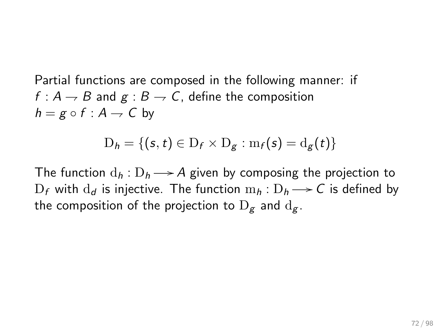Partial functions are composed in the following manner: if  $f: A \rightarrow B$  and  $g: B \rightarrow C$ , define the composition  $h = g \circ f : A \rightarrow C$  by

$$
D_h = \{ (s, t) \in D_f \times D_g : m_f(s) = d_g(t) \}
$$

The function  $d_h: D_h \longrightarrow A$  given by composing the projection to  $\mathrm{D}_f$  with  $\mathrm{d}_d$  is injective. The function  $\mathrm{m}_h:\mathrm{D}_h \longrightarrow \mathcal{C}$  is defined by the composition of the projection to  $D_g$  and  $d_g$ .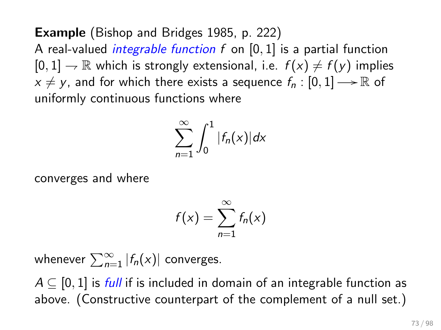Example (Bishop and Bridges 1985, p. 222) A real-valued *integrable function*  $f$  on  $[0, 1]$  is a partial function  $[0, 1] \rightarrow \mathbb{R}$  which is strongly extensional, i.e.  $f(x) \neq f(y)$  implies  $x \neq y$ , and for which there exists a sequence  $f_n : [0, 1] \rightarrow \mathbb{R}$  of uniformly continuous functions where

$$
\sum_{n=1}^{\infty}\int_{0}^{1}|f_{n}(x)|dx
$$

converges and where

$$
f(x) = \sum_{n=1}^{\infty} f_n(x)
$$

whenever  $\sum_{n=1}^{\infty} |f_n(x)|$  converges.

 $A \subseteq [0, 1]$  is *full* if is included in domain of an integrable function as above. (Constructive counterpart of the complement of a null set.)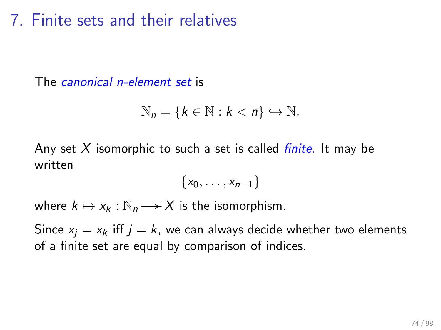## 7. Finite sets and their relatives

The *canonical n-element set* is

$$
\mathbb{N}_n = \{k \in \mathbb{N} : k < n\} \hookrightarrow \mathbb{N}.
$$

Any set  $X$  isomorphic to such a set is called *finite*. It may be written

$$
\{x_0,\ldots,x_{n-1}\}
$$

where  $k \mapsto x_k : \mathbb{N}_n \longrightarrow X$  is the isomorphism.

Since  $x_i = x_k$  iff  $j = k$ , we can always decide whether two elements of a finite set are equal by comparison of indices.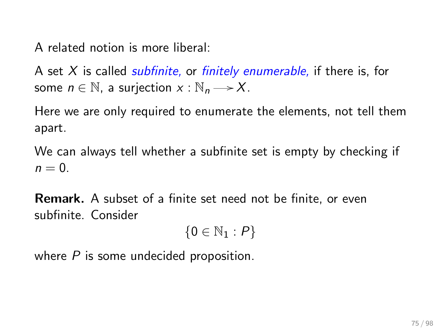A related notion is more liberal:

A set  $X$  is called *subfinite*, or *finitely enumerable*, if there is, for some  $n \in \mathbb{N}$ , a surjection  $x : \mathbb{N}_n \longrightarrow X$ .

Here we are only required to enumerate the elements, not tell them apart.

We can always tell whether a subfinite set is empty by checking if  $n = 0$ .

Remark. A subset of a finite set need not be finite, or even subfinite. Consider

 ${0 \in \mathbb{N}_1 : P}$ 

where  $P$  is some undecided proposition.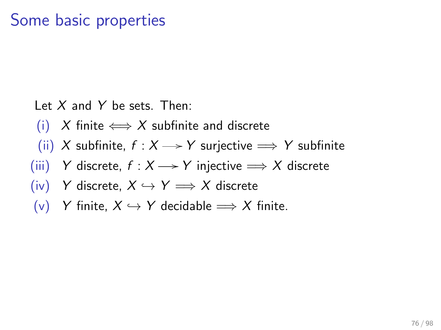## Some basic properties

Let  $X$  and  $Y$  be sets. Then:

- (i) X finite  $\Longleftrightarrow$  X subfinite and discrete
- (ii) X subfinite,  $f : X \rightarrow Y$  surjective  $\Longrightarrow Y$  subfinite
- (iii) Y discrete,  $f : X \longrightarrow Y$  injective  $\Longrightarrow X$  discrete
- (iv) Y discrete,  $X \hookrightarrow Y \Longrightarrow X$  discrete
- (v) Y finite,  $X \hookrightarrow Y$  decidable  $\Longrightarrow X$  finite.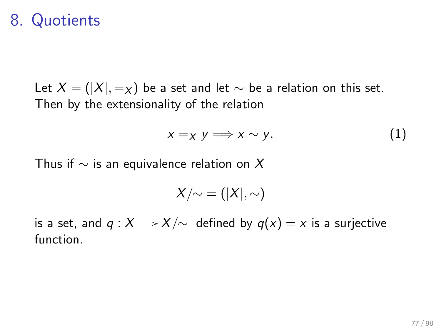### 8. Quotients

Let  $X = (|X|, =_X)$  be a set and let  $\sim$  be a relation on this set. Then by the extensionality of the relation

$$
x =_X y \Longrightarrow x \sim y. \tag{1}
$$

Thus if  $\sim$  is an equivalence relation on X

$$
X/\!\!\sim\;=(|X|,\sim)
$$

is a set, and  $q : X \longrightarrow X/\sim$  defined by  $q(x) = x$  is a surjective function.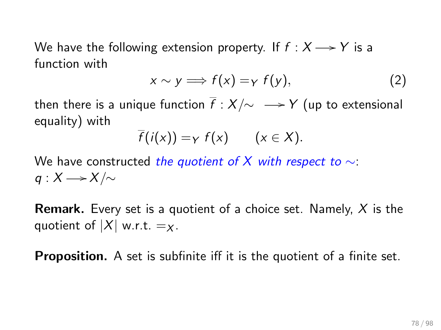We have the following extension property. If  $f : X \longrightarrow Y$  is a function with

$$
x \sim y \Longrightarrow f(x) = \gamma f(y), \tag{2}
$$

then there is a unique function  $\overline{f}$  :  $X/\sim$   $\longrightarrow$  Y (up to extensional equality) with

$$
\overline{f}(i(x)) = \gamma f(x) \qquad (x \in X).
$$

We have constructed the quotient of X with respect to  $\sim$ :  $q: X \longrightarrow X/\sim$ 

**Remark.** Every set is a quotient of a choice set. Namely,  $X$  is the quotient of  $|X|$  w.r.t.  $=x$ .

**Proposition.** A set is subfinite iff it is the quotient of a finite set.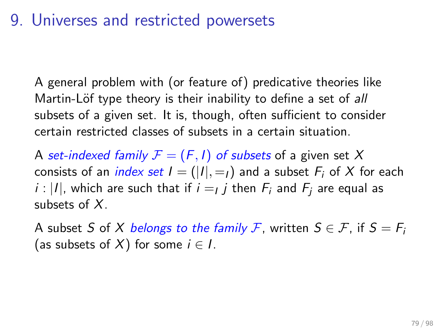### 9. Universes and restricted powersets

A general problem with (or feature of) predicative theories like Martin-Löf type theory is their inability to define a set of all subsets of a given set. It is, though, often sufficient to consider certain restricted classes of subsets in a certain situation.

A set-indexed family  $F = (F, I)$  of subsets of a given set X consists of an *index set*  $I = (|I|, =_I)$  and a subset  $F_i$  of X for each  $i$  :  $\vert I\vert$ , which are such that if  $i=$   $j$  then  $F_i$  and  $F_j$  are equal as subsets of  $X$ .

A subset S of X belongs to the family F, written  $S \in \mathcal{F}$ , if  $S = F_i$ (as subsets of X) for some  $i \in I$ .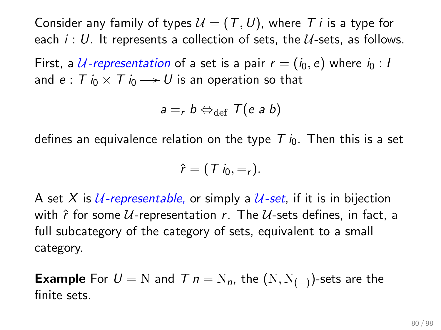Consider any family of types  $U = (T, U)$ , where T i is a type for each  $i: U$ . It represents a collection of sets, the  $U$ -sets, as follows.

First, a U-representation of a set is a pair  $r = (i_0, e)$  where  $i_0 : I$ and  $e$  :  $T$   $i_0 \times T$   $i_0 \longrightarrow U$  is an operation so that

$$
a = r b \Leftrightarrow_{\text{def}} T(e a b)
$$

defines an equivalence relation on the type  $T_{i0}$ . Then this is a set

$$
\hat{r}=(T i_0,=r).
$$

A set X is *U-representable*, or simply a *U-set*, if it is in bijection with  $\hat{r}$  for some  $U$ -representation r. The  $U$ -sets defines, in fact, a full subcategory of the category of sets, equivalent to a small category.

**Example** For  $U = N$  and  $T$   $n = N_n$ , the  $(N, N_{(-)})$ -sets are the finite sets.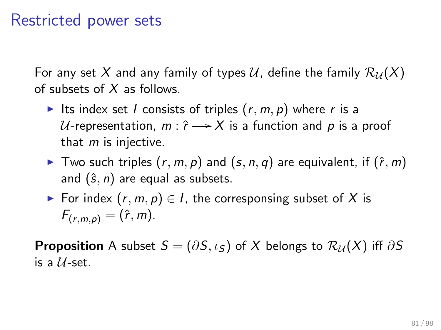### Restricted power sets

For any set X and any family of types U, define the family  $\mathcal{R}_{\mathcal{U}}(X)$ of subsets of  $X$  as follows.

- Its index set I consists of triples  $(r, m, p)$  where r is a  $\mathcal U$ -representation,  $m: \hat r \mathop{\longrightarrow} \mathcal X$  is a function and  $p$  is a proof that  $m$  is injective.
- ▶ Two such triples  $(r, m, p)$  and  $(s, n, q)$  are equivalent, if  $(\hat{r}, m)$ and  $(\hat{s}, n)$  are equal as subsets.
- For index  $(r, m, p) \in I$ , the corresponsing subset of X is  $F_{(r,m,n)} = (\hat{r},m).$

**Proposition** A subset  $S = (\partial S, \iota_S)$  of X belongs to  $\mathcal{R}_U(X)$  iff  $\partial S$ is a  $U$ -set.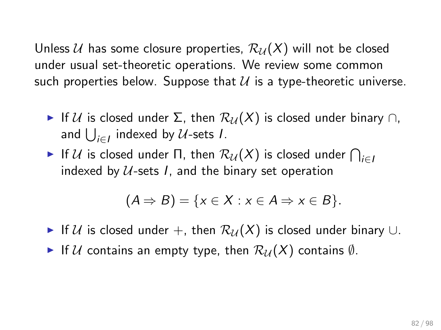Unless U has some closure properties,  $\mathcal{R}_{\mathcal{U}}(X)$  will not be closed under usual set-theoretic operations. We review some common such properties below. Suppose that  $U$  is a type-theoretic universe.

- If U is closed under  $\Sigma$ , then  $\mathcal{R}_U(X)$  is closed under binary  $\cap$ , and  $\bigcup_{i\in I}$  indexed by  $\mathcal U$ -sets  $I.$
- $\blacktriangleright$  If  $\mathcal U$  is closed under  $\Pi$ , then  $\mathcal R_\mathcal{U}(X)$  is closed under  $\bigcap_{i\in I}$ indexed by  $U$ -sets I, and the binary set operation

$$
(A \Rightarrow B) = \{x \in X : x \in A \Rightarrow x \in B\}.
$$

- If U is closed under +, then  $\mathcal{R}_{\mathcal{U}}(X)$  is closed under binary ∪.
- If U contains an empty type, then  $\mathcal{R}_{\mathcal{U}}(X)$  contains  $\emptyset$ .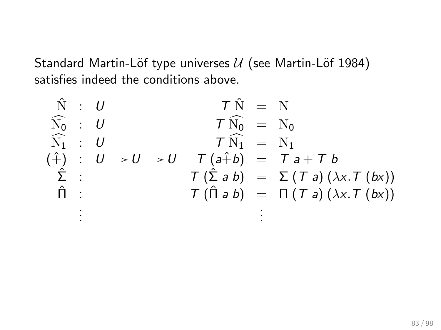Standard Martin-Löf type universes  $U$  (see Martin-Löf 1984) satisfies indeed the conditions above.

$$
\hat{N} : U \qquad T \hat{N} = N
$$
\n
$$
\hat{N}_0 : U \qquad T \hat{N}_0 = N_0
$$
\n
$$
\hat{N}_1 : U \qquad T \hat{N}_1 = N_1
$$
\n
$$
\hat{\tau} : U \rightarrow U \rightarrow U \qquad T (a+b) = T a + T b
$$
\n
$$
\hat{\Sigma} : T (\hat{\Sigma} a b) = \Sigma (T a) (\lambda x. T (bx))
$$
\n
$$
\hat{\Pi} : T (\hat{\Pi} a b) = \Pi (T a) (\lambda x. T (bx))
$$
\n
$$
\vdots
$$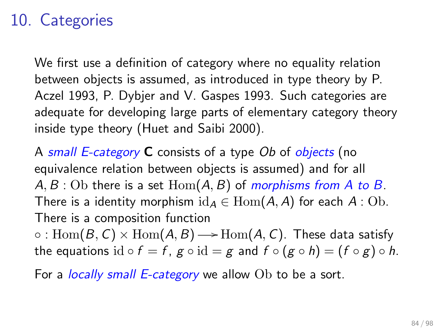# 10. Categories

We first use a definition of category where no equality relation between objects is assumed, as introduced in type theory by P. Aczel 1993, P. Dybjer and V. Gaspes 1993. Such categories are adequate for developing large parts of elementary category theory inside type theory (Huet and Saibi 2000).

A small E-category C consists of a type Ob of objects (no equivalence relation between objects is assumed) and for all  $A, B$ : Ob there is a set  $Hom(A, B)$  of morphisms from A to B. There is a identity morphism  $id_A \in Hom(A, A)$  for each  $A : Ob$ . There is a composition function

 $\circ: {\rm Hom}(\mathcal{B},\mathcal{C})\times {\rm Hom}(\mathcal{A},\mathcal{B}) {\longrightarrow} {\rm Hom}(\mathcal{A},\mathcal{C}).$  These data satisfy the equations id  $\circ f = f$ ,  $g \circ id = g$  and  $f \circ (g \circ h) = (f \circ g) \circ h$ .

For a *locally small E-category* we allow Ob to be a sort.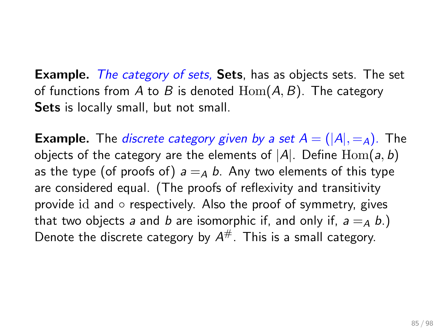**Example.** The category of sets, Sets, has as objects sets. The set of functions from A to B is denoted  $\text{Hom}(A, B)$ . The category Sets is locally small, but not small.

**Example.** The *discrete category given by a set*  $A = (|A|, =_A)$ . The objects of the category are the elements of  $|A|$ . Define  $\text{Hom}(a, b)$ as the type (of proofs of)  $a = A b$ . Any two elements of this type are considered equal. (The proofs of reflexivity and transitivity provide id and  $\circ$  respectively. Also the proof of symmetry, gives that two objects a and b are isomorphic if, and only if,  $a =_A b$ .) Denote the discrete category by  $A^{\#}$ . This is a small category.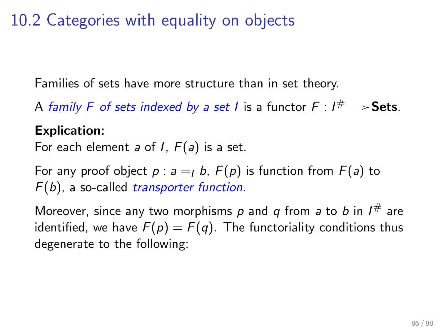10.2 Categories with equality on objects

Families of sets have more structure than in set theory.

A family F of sets indexed by a set I is a functor  $F: I^\# \longrightarrow$  Sets.

### Explication:

For each element a of  $I$ ,  $F(a)$  is a set.

For any proof object  $p : a =_I b$ ,  $F(p)$  is function from  $F(a)$  to  $F(b)$ , a so-called *transporter function*.

Moreover, since any two morphisms  $p$  and  $q$  from  $a$  to  $b$  in  $I^{\#}$  are identified, we have  $F(p) = F(q)$ . The functoriality conditions thus degenerate to the following: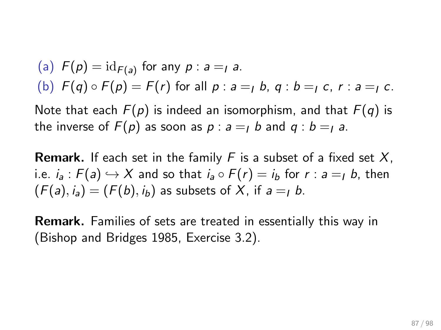\n- (a) 
$$
F(p) = \text{id}_{F(a)}
$$
 for any  $p : a =_1 a$ .
\n- (b)  $F(q) \circ F(p) = F(r)$  for all  $p : a =_1 b$ ,  $q : b =_1 c$ ,  $r : a =_1 c$ .
\n

Note that each  $F(p)$  is indeed an isomorphism, and that  $F(q)$  is the inverse of  $F(p)$  as soon as  $p : a = 1$  b and  $q : b = 1$  a.

**Remark.** If each set in the family F is a subset of a fixed set  $X$ , i.e.  $i_a$ :  $F(a) \hookrightarrow X$  and so that  $i_a \circ F(r) = i_b$  for  $r : a =_I b$ , then  $(F(a), i_a) = (F(b), i_b)$  as subsets of X, if  $a = I b$ .

Remark. Families of sets are treated in essentially this way in (Bishop and Bridges 1985, Exercise 3.2).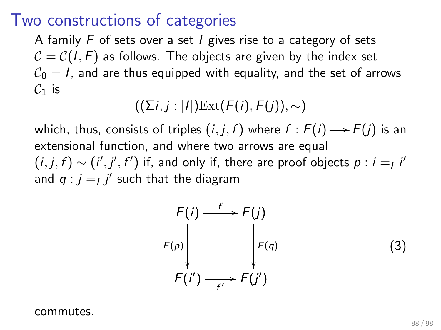### Two constructions of categories

A family  $F$  of sets over a set  $I$  gives rise to a category of sets  $C = C(1, F)$  as follows. The objects are given by the index set  $C_0 = I$ , and are thus equipped with equality, and the set of arrows  $C_1$  is

 $((\Sigma i, i : |I|) \text{Ext}(F(i), F(i)), \sim)$ 

which, thus, consists of triples  $(i,j,f)$  where  $f : F(i) {\,\longrightarrow\,} F(j)$  is an extensional function, and where two arrows are equal  $(i,j,f)\sim (i',j',f')$  if, and only if, there are proof objects  $p:i=_l i'$ and  $q : j = j'$  such that the diagram

$$
F(i) \xrightarrow{f} F(j)
$$
  
\n
$$
F(p) \downarrow F(q)
$$
  
\n
$$
F(i') \xrightarrow{f'} F(j')
$$
 (3)

commutes.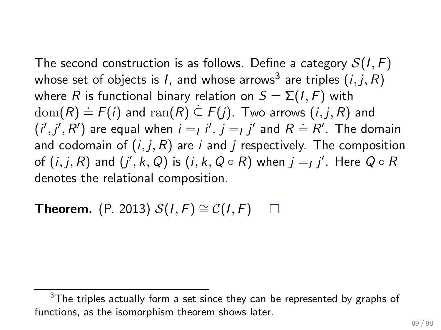The second construction is as follows. Define a category  $S(I, F)$ whose set of objects is  $I$ , and whose arrows $^3$  are triples  $\left( {i,j,R} \right)$ where R is functional binary relation on  $S = \Sigma(I, F)$  with  $dom(R) = F(i)$  and  $ran(R) \subseteq F(j)$ . Two arrows  $(i, j, R)$  and  $(i',j',R')$  are equal when  $i = I$  i',  $j = I$  i' and  $R = R'$ . The domain and codomain of  $(i, j, R)$  are i and j respectively. The composition of  $(i,j,R)$  and  $(j',k,Q)$  is  $(i,k,Q\circ R)$  when  $j=_Ij'$ . Here  $Q\circ R$ denotes the relational composition.

**Theorem.** (P. 2013)  $S(I, F) \cong C(I, F)$  $\Box$ 

 $3$ The triples actually form a set since they can be represented by graphs of functions, as the isomorphism theorem shows later.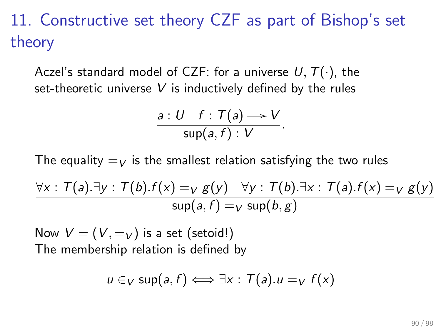# 11. Constructive set theory CZF as part of Bishop's set theory

Aczel's standard model of CZF: for a universe  $U, T(\cdot)$ , the set-theoretic universe  $V$  is inductively defined by the rules

$$
\frac{a: U \quad f: T(a) \longrightarrow V}{\sup(a, f) : V}.
$$

The equality  $=V$  is the smallest relation satisfying the two rules

$$
\frac{\forall x : T(a).\exists y : T(b).f(x) =_V g(y) \quad \forall y : T(b).\exists x : T(a).f(x) =_V g(y)}{\sup(a, f) =_V \sup(b, g)}
$$

Now  $V = (V, =_V)$  is a set (setoid!) The membership relation is defined by

$$
u \in_V \text{sup}(a, f) \Longleftrightarrow \exists x : T(a).u =_V f(x)
$$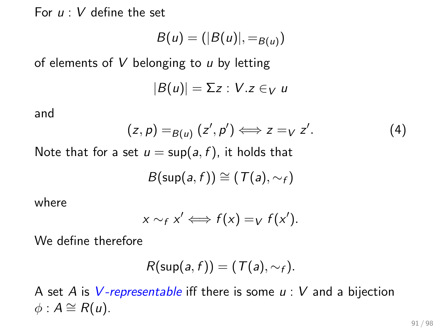For  $u: V$  define the set

$$
B(u)=(|B(u)|,=_{B(u)})
$$

of elements of  $V$  belonging to  $u$  by letting

$$
|B(u)|=\Sigma z: V.z \in_V u
$$

and

$$
(z,p) =_{B(u)} (z',p') \Longleftrightarrow z =_{V} z'.
$$
 (4)

Note that for a set  $u = \sup(a, f)$ , it holds that

$$
B(\mathsf{sup}(a,f)) \cong (\mathcal{T}(a),\sim_f)
$$

where

$$
x \sim_f x' \iff f(x) =_V f(x').
$$

We define therefore

$$
R(\sup(a, f)) = (T(a), \sim_f).
$$

A set A is V-representable iff there is some  $u: V$  and a bijection  $\phi$  :  $A \cong R(u)$ .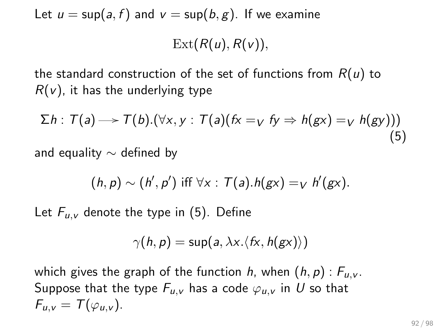Let  $u = \sup(a, f)$  and  $v = \sup(b, g)$ . If we examine

 $Ext(R(u), R(v)),$ 

the standard construction of the set of functions from  $R(u)$  to  $R(v)$ , it has the underlying type

<span id="page-91-0"></span>
$$
\Sigma h : T(a) \longrightarrow T(b) . (\forall x, y : T(a) (fx =_V fy \Rightarrow h(gx) =_V h(gy)))
$$
\n(5)

and equality  $\sim$  defined by

$$
(h,p) \sim (h',p') \text{ iff } \forall x: \mathcal{T}(a).h(gx) =_V h'(gx).
$$

Let  $F_{\mu,\nu}$  denote the type in [\(5\)](#page-91-0). Define

$$
\gamma(h,p) = \sup(a, \lambda x. \langle fx, h(gx) \rangle)
$$

which gives the graph of the function h, when  $(h, p)$ :  $F_{\mu,\nu}$ . Suppose that the type  $F_{u,v}$  has a code  $\varphi_{u,v}$  in U so that  $F_{\mu\nu}=T(\varphi_{\mu\nu}).$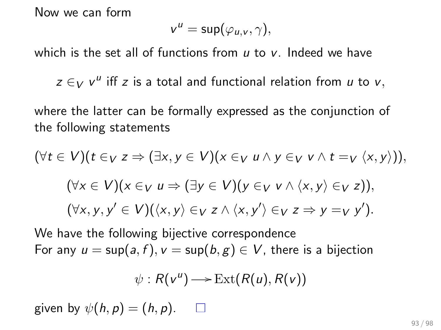Now we can form

$$
v^u = \sup(\varphi_{u,v}, \gamma),
$$

which is the set all of functions from  $u$  to  $v$ . Indeed we have

 $z \in V$   $v^{\mu}$  iff z is a total and functional relation from  $u$  to  $v$ ,

where the latter can be formally expressed as the conjunction of the following statements

$$
(\forall t \in V)(t \in_V z \Rightarrow (\exists x, y \in V)(x \in_V u \land y \in_V v \land t =_V \langle x, y \rangle)),
$$
  

$$
(\forall x \in V)(x \in_V u \Rightarrow (\exists y \in V)(y \in_V v \land \langle x, y \rangle \in_V z)),
$$
  

$$
(\forall x, y, y' \in V)(\langle x, y \rangle \in_V z \land \langle x, y' \rangle \in_V z \Rightarrow y =_V y').
$$

We have the following bijective correspondence For any  $u = \sup(a, f)$ ,  $v = \sup(b, g) \in V$ , there is a bijection

$$
\psi:R(v^u)\longrightarrow \operatorname{Ext}(R(u),R(v))
$$

given by  $\psi(h, p) = (h, p)$ .  $\Box$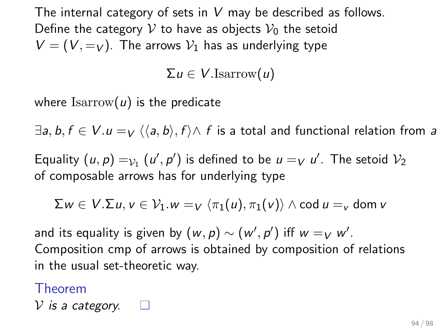The internal category of sets in  $V$  may be described as follows. Define the category V to have as objects  $V_0$  the setoid  $V = (V, =_V)$ . The arrows  $V_1$  has as underlying type

 $\Sigma u \in V$ .Isarrow $(u)$ 

where  $\text{Isarrow}(u)$  is the predicate

 $\exists a, b, f \in V.$   $u =_V \langle \langle a, b \rangle, f \rangle \wedge f$  is a total and functional relation from a

Equality  $(u, p) =_{\mathcal{V}_1} (u', p')$  is defined to be  $u =_V u'$ . The setoid  $\mathcal{V}_2$ of composable arrows has for underlying type

$$
\Sigma w \in V.\Sigma u, v \in \mathcal{V}_1.w =_V \langle \pi_1(u), \pi_1(v) \rangle \wedge \text{cod } u =_V \text{dom } v
$$

and its equality is given by  $(w, p) \sim (w', p')$  iff  $w =_V w'.$ Composition cmp of arrows is obtained by composition of relations in the usual set-theoretic way.

Theorem V is a category.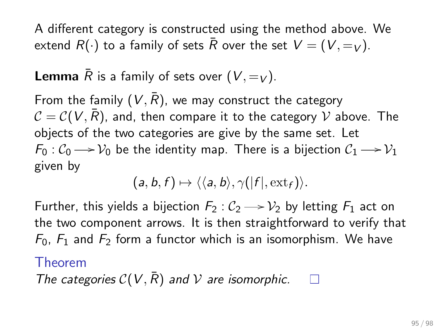A different category is constructed using the method above. We extend  $R(\cdot)$  to a family of sets  $\overline{R}$  over the set  $V = (V, =_V)$ .

**Lemma**  $\overline{R}$  is a family of sets over  $(V, =_V)$ .

From the family  $(V, \overline{R})$ , we may construct the category  $C = C(V, \overline{R})$ , and, then compare it to the category V above. The objects of the two categories are give by the same set. Let  $\mathcal{F}_0: \mathcal{C}_0 \longrightarrow \mathcal{V}_0$  be the identity map. There is a bijection  $\mathcal{C}_1 \longrightarrow \mathcal{V}_1$ given by

$$
(a, b, f) \mapsto \langle \langle a, b \rangle, \gamma(|f|, \text{ext}_f) \rangle.
$$

Further, this yields a bijection  $F_2:\mathcal{C}_2 \longrightarrow \mathcal{V}_2$  by letting  $F_1$  act on the two component arrows. It is then straightforward to verify that  $F_0$ ,  $F_1$  and  $F_2$  form a functor which is an isomorphism. We have

#### Theorem

The categories  $C(V, \overline{R})$  and V are isomorphic. П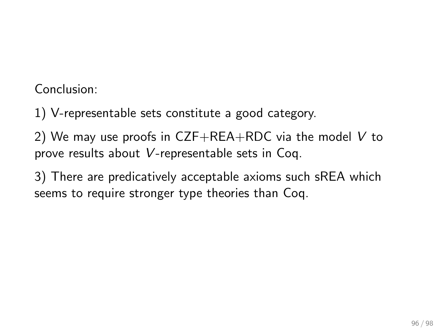Conclusion:

1) V-representable sets constitute a good category.

2) We may use proofs in  $CZF+REA+RDC$  via the model V to prove results about V-representable sets in Coq.

3) There are predicatively acceptable axioms such sREA which seems to require stronger type theories than Coq.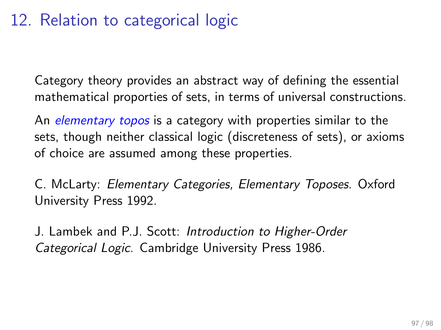# 12. Relation to categorical logic

Category theory provides an abstract way of defining the essential mathematical proporties of sets, in terms of universal constructions.

An *elementary topos* is a category with properties similar to the sets, though neither classical logic (discreteness of sets), or axioms of choice are assumed among these properties.

C. McLarty: Elementary Categories, Elementary Toposes. Oxford University Press 1992.

J. Lambek and P.J. Scott: Introduction to Higher-Order Categorical Logic. Cambridge University Press 1986.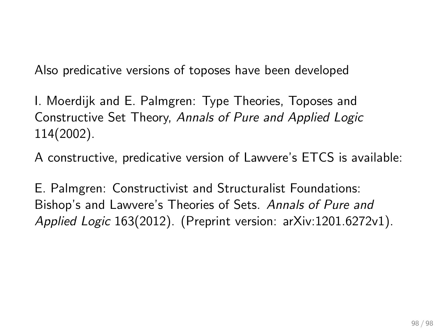Also predicative versions of toposes have been developed

I. Moerdijk and E. Palmgren: Type Theories, Toposes and Constructive Set Theory, Annals of Pure and Applied Logic 114(2002).

A constructive, predicative version of Lawvere's ETCS is available:

E. Palmgren: Constructivist and Structuralist Foundations: Bishop's and Lawvere's Theories of Sets. Annals of Pure and Applied Logic 163(2012). (Preprint version: arXiv:1201.6272v1).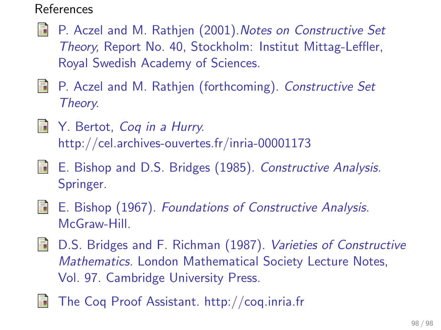### References

- F P. Aczel and M. Rathjen (2001).Notes on Constructive Set Theory, Report No. 40, Stockholm: Institut Mittag-Leffler, Royal Swedish Academy of Sciences.
- **P.** Aczel and M. Rathjen (forthcoming). Constructive Set Theory.
- Y. Bertot, Coq in a Hurry. 量 http://cel.archives-ouvertes.fr/inria-00001173
- 暈 E. Bishop and D.S. Bridges (1985). Constructive Analysis. Springer.
- S. E. Bishop (1967). Foundations of Constructive Analysis. McGraw-Hill.
- **D.S.** Bridges and F. Richman (1987). Varieties of Constructive Mathematics. London Mathematical Society Lecture Notes, Vol. 97. Cambridge University Press.
- The Coq Proof Assistant. http://coq.inria.fr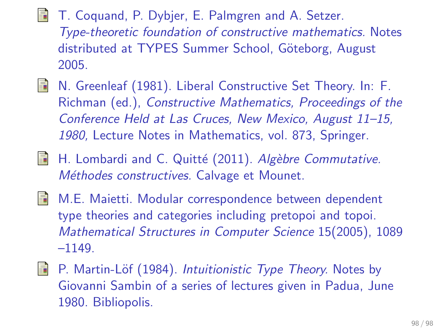- T. Coquand, P. Dybjer, E. Palmgren and A. Setzer. Type-theoretic foundation of constructive mathematics. Notes distributed at TYPES Summer School, Göteborg, August 2005.
- **N.** Greenleaf (1981). Liberal Constructive Set Theory. In: F. Richman (ed.), Constructive Mathematics, Proceedings of the Conference Held at Las Cruces, New Mexico, August 11–15, 1980, Lecture Notes in Mathematics, vol. 873, Springer.
- 暈 H. Lombardi and C. Quitté (2011). Algèbre Commutative. Méthodes constructives. Calvage et Mounet.
- M.E. Maietti. Modular correspondence between dependent type theories and categories including pretopoi and topoi. Mathematical Structures in Computer Science 15(2005), 1089  $-1149.$
- Ħ P. Martin-Löf (1984). Intuitionistic Type Theory. Notes by Giovanni Sambin of a series of lectures given in Padua, June 1980. Bibliopolis.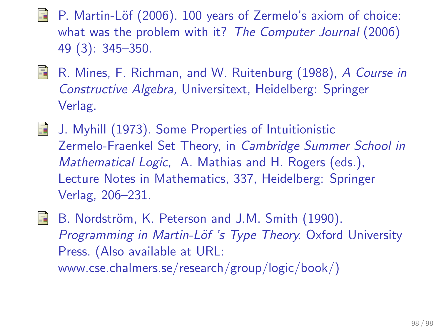- P. Martin-Löf (2006). 100 years of Zermelo's axiom of choice: what was the problem with it? The Computer Journal (2006) 49 (3): 345–350.
- F R. Mines, F. Richman, and W. Ruitenburg (1988), A Course in Constructive Algebra, Universitext, Heidelberg: Springer Verlag.
- J. Myhill (1973). Some Properties of Intuitionistic Zermelo-Fraenkel Set Theory, in Cambridge Summer School in Mathematical Logic, A. Mathias and H. Rogers (eds.), Lecture Notes in Mathematics, 337, Heidelberg: Springer Verlag, 206–231.
- 

B. Nordström, K. Peterson and J.M. Smith (1990). Programming in Martin-Löf 's Type Theory. Oxford University Press. (Also available at URL: www.cse.chalmers.se/research/group/logic/book/)